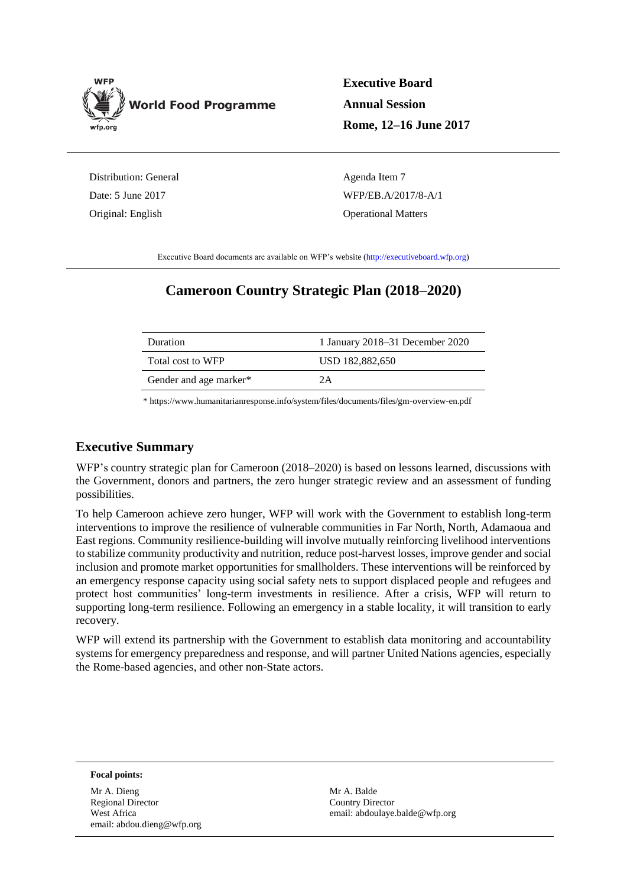

**Executive Board Annual Session Rome, 12–16 June 2017**

Distribution: General Date: 5 June 2017 Original: English

Agenda Item 7 WFP/EB.A/2017/8-A/1 Operational Matters

Executive Board documents are available on WFP's website [\(http://executiveboard.wfp.org\)](http://executiveboard.wfp.org/home)

# **Cameroon Country Strategic Plan (2018–2020)**

| Duration               | 1 January 2018–31 December 2020 |
|------------------------|---------------------------------|
| Total cost to WFP      | USD 182,882,650                 |
| Gender and age marker* | 2A                              |

[\\* https://www.humanitarianresponse.info/system/files/documents/files/gm-overview-en.pdf](https://www.humanitarianresponse.info/system/files/documents/files/gm-overview-en.pdf)

# **Executive Summary**

WFP's country strategic plan for Cameroon (2018–2020) is based on lessons learned, discussions with the Government, donors and partners, the zero hunger strategic review and an assessment of funding possibilities.

To help Cameroon achieve zero hunger, WFP will work with the Government to establish long-term interventions to improve the resilience of vulnerable communities in Far North, North, Adamaoua and East regions. Community resilience-building will involve mutually reinforcing livelihood interventions to stabilize community productivity and nutrition, reduce post-harvest losses, improve gender and social inclusion and promote market opportunities for smallholders. These interventions will be reinforced by an emergency response capacity using social safety nets to support displaced people and refugees and protect host communities' long-term investments in resilience. After a crisis, WFP will return to supporting long-term resilience. Following an emergency in a stable locality, it will transition to early recovery.

WFP will extend its partnership with the Government to establish data monitoring and accountability systems for emergency preparedness and response, and will partner United Nations agencies, especially the Rome-based agencies, and other non-State actors.

**Focal points:**

Mr A. Dieng Regional Director West Africa email: abdou.dieng@wfp.org

Mr A. Balde Country Director email: abdoulaye.balde@wfp.org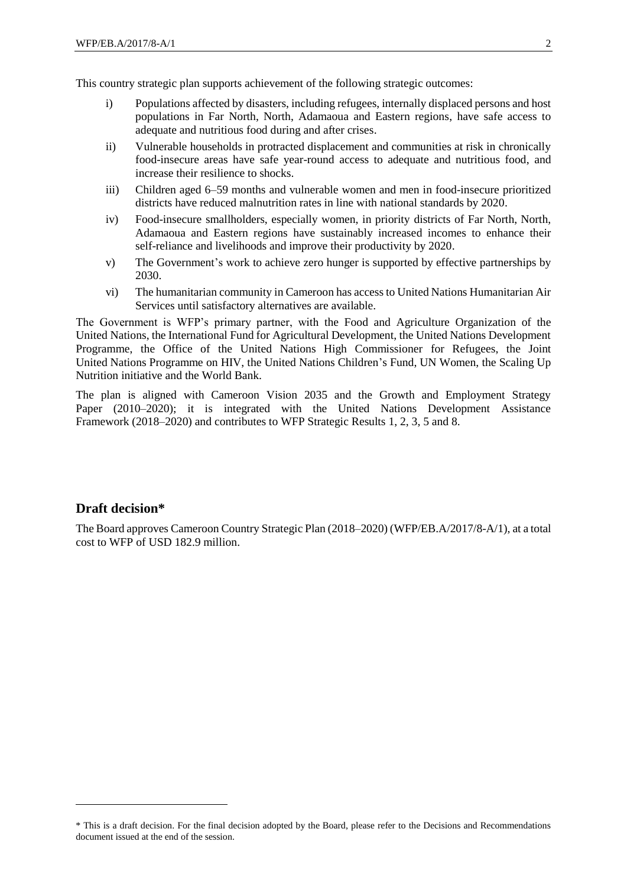This country strategic plan supports achievement of the following strategic outcomes:

- i) Populations affected by disasters, including refugees, internally displaced persons and host populations in Far North, North, Adamaoua and Eastern regions, have safe access to adequate and nutritious food during and after crises.
- ii) Vulnerable households in protracted displacement and communities at risk in chronically food-insecure areas have safe year-round access to adequate and nutritious food, and increase their resilience to shocks.
- iii) Children aged 6–59 months and vulnerable women and men in food-insecure prioritized districts have reduced malnutrition rates in line with national standards by 2020.
- iv) Food-insecure smallholders, especially women, in priority districts of Far North, North, Adamaoua and Eastern regions have sustainably increased incomes to enhance their self-reliance and livelihoods and improve their productivity by 2020.
- v) The Government's work to achieve zero hunger is supported by effective partnerships by 2030.
- vi) The humanitarian community in Cameroon has access to United Nations Humanitarian Air Services until satisfactory alternatives are available.

The Government is WFP's primary partner, with the Food and Agriculture Organization of the United Nations, the International Fund for Agricultural Development, the United Nations Development Programme, the Office of the United Nations High Commissioner for Refugees, the Joint United Nations Programme on HIV, the United Nations Children's Fund, UN Women, the Scaling Up Nutrition initiative and the World Bank.

The plan is aligned with Cameroon Vision 2035 and the Growth and Employment Strategy Paper (2010–2020); it is integrated with the United Nations Development Assistance Framework (2018–2020) and contributes to WFP Strategic Results 1, 2, 3, 5 and 8.

# **Draft decision\***

-

The Board approves Cameroon Country Strategic Plan (2018–2020) (WFP/EB.A/2017/8-A/1), at a total cost to WFP of USD 182.9 million.

<sup>\*</sup> This is a draft decision. For the final decision adopted by the Board, please refer to the Decisions and Recommendations document issued at the end of the session.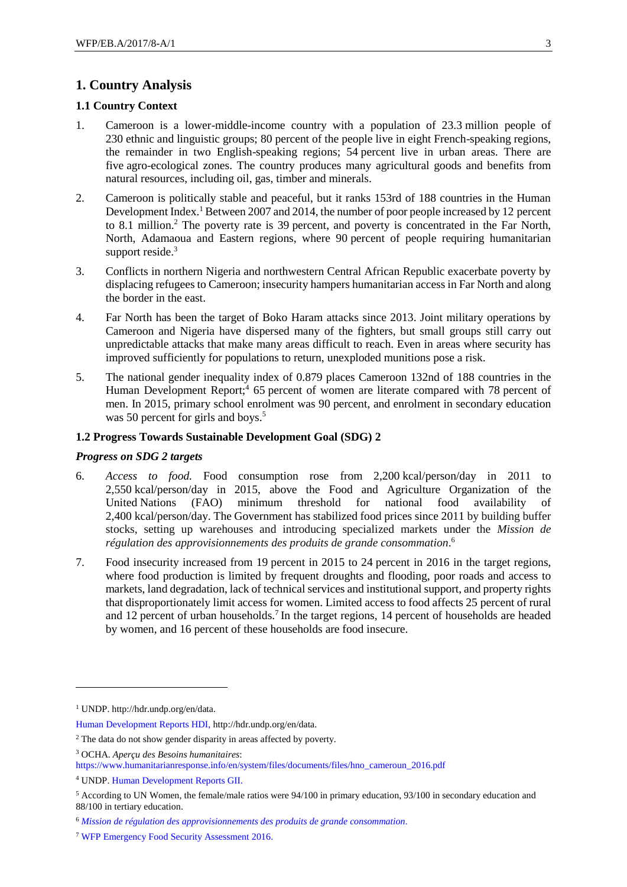# **1. Country Analysis**

#### **1.1 Country Context**

- 1. Cameroon is a lower-middle-income country with a population of 23.3 million people of 230 ethnic and linguistic groups; 80 percent of the people live in eight French-speaking regions, the remainder in two English-speaking regions; 54 percent live in urban areas. There are five agro-ecological zones. The country produces many agricultural goods and benefits from natural resources, including oil, gas, timber and minerals.
- 2. Cameroon is politically stable and peaceful, but it ranks 153rd of 188 countries in the Human Development Index.<sup>1</sup> Between 2007 and 2014, the number of poor people increased by 12 percent to 8.1 million.<sup>2</sup> The poverty rate is 39 percent, and poverty is concentrated in the Far North, North, Adamaoua and Eastern regions, where 90 percent of people requiring humanitarian support reside.<sup>3</sup>
- 3. Conflicts in northern Nigeria and northwestern Central African Republic exacerbate poverty by displacing refugees to Cameroon; insecurity hampers humanitarian access in Far North and along the border in the east.
- 4. Far North has been the target of Boko Haram attacks since 2013. Joint military operations by Cameroon and Nigeria have dispersed many of the fighters, but small groups still carry out unpredictable attacks that make many areas difficult to reach. Even in areas where security has improved sufficiently for populations to return, unexploded munitions pose a risk.
- 5. The national gender inequality index of 0.879 places Cameroon 132nd of 188 countries in the Human Development Report;<sup>4</sup> 65 percent of women are literate compared with 78 percent of men. In 2015, primary school enrolment was 90 percent, and enrolment in secondary education was 50 percent for girls and boys.<sup>5</sup>

#### **1.2 Progress Towards Sustainable Development Goal (SDG) 2**

#### *Progress on SDG 2 targets*

- 6. *Access to food.* Food consumption rose from 2,200 kcal/person/day in 2011 to 2,550 kcal/person/day in 2015, above the Food and Agriculture Organization of the United Nations (FAO) minimum threshold for national food availability of 2,400 kcal/person/day. The Government has stabilized food prices since 2011 by building buffer stocks, setting up warehouses and introducing specialized markets under the *Mission de régulation des approvisionnements des produits de grande consommation*. 6
- 7. Food insecurity increased from 19 percent in 2015 to 24 percent in 2016 in the target regions, where food production is limited by frequent droughts and flooding, poor roads and access to markets, land degradation, lack of technical services and institutional support, and property rights that disproportionately limit access for women. Limited access to food affects 25 percent of rural and 12 percent of urban households.<sup>7</sup> In the target regions, 14 percent of households are headed by women, and 16 percent of these households are food insecure.

<sup>1</sup> UNDP. http://hdr.undp.org/en/data.

[Human Development Reports HDI,](http://hdr.undp.org/en/data) http://hdr.undp.org/en/data.

<sup>&</sup>lt;sup>2</sup> The data do not show gender disparity in areas affected by poverty.

<sup>3</sup> OCHA. *Aperçu des Besoins humanitaires*:

[https://www.humanitarianresponse.info/en/system/files/documents/files/hno\\_cameroun\\_2016.pdf](https://www.humanitarianresponse.info/en/system/files/documents/files/hno_cameroun_2016.pdf)

<sup>4</sup> UNDP[. Human Development Reports GII.](http://hdr.undp.org/en/indicators/68606)

<sup>5</sup> According to UN Women, the female/male ratios were 94/100 in primary education, 93/100 in secondary education and 88/100 in tertiary education.

<sup>6</sup> *[Mission de régulation des approvisionnements des produits de grande consommation.](http://www.cameroun24.net/actualite-cameroun-Commerce_3A_La_Mirap_veut_investir_340_millions-1-1-34593.html)*

<sup>7</sup> [WFP Emergency Food Security Assessment](https://www.wfp.org/food-security/assessments/emergency-food-security-assessment) 2016.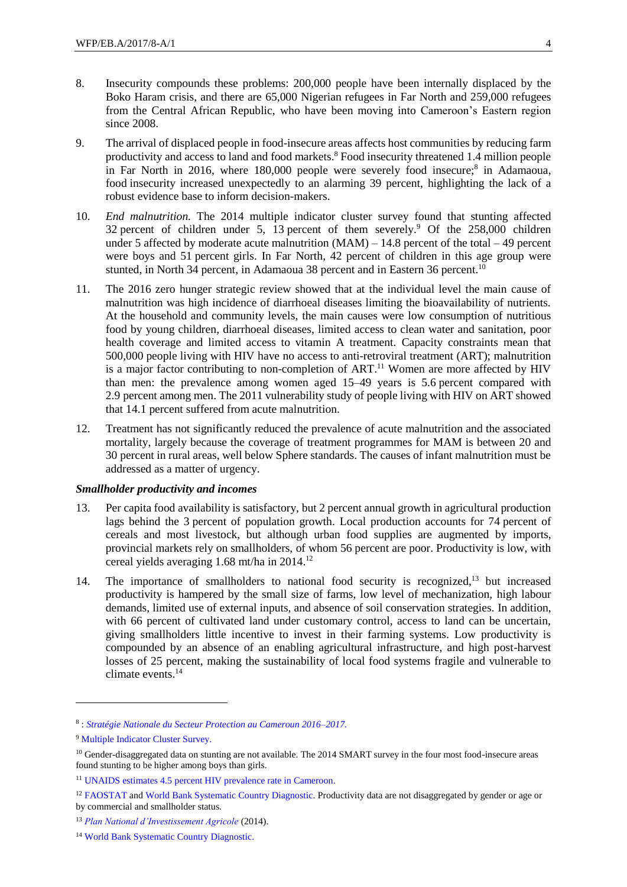- 8. Insecurity compounds these problems: 200,000 people have been internally displaced by the Boko Haram crisis, and there are 65,000 Nigerian refugees in Far North and 259,000 refugees from the Central African Republic, who have been moving into Cameroon's Eastern region since 2008.
- 9. The arrival of displaced people in food-insecure areas affects host communities by reducing farm productivity and access to land and food markets.<sup>8</sup> Food insecurity threatened 1.4 million people in Far North in 2016, where 180,000 people were severely food insecure; 8 in Adamaoua, food insecurity increased unexpectedly to an alarming 39 percent, highlighting the lack of a robust evidence base to inform decision-makers.
- 10. *End malnutrition.* The 2014 multiple indicator cluster survey found that stunting affected 32 percent of children under 5, 13 percent of them severely.<sup>9</sup> Of the 258,000 children under 5 affected by moderate acute malnutrition  $(MAM) - 14.8$  percent of the total  $-49$  percent were boys and 51 percent girls. In Far North, 42 percent of children in this age group were stunted, in North 34 percent, in Adamaoua 38 percent and in Eastern 36 percent.<sup>10</sup>
- 11. The 2016 zero hunger strategic review showed that at the individual level the main cause of malnutrition was high incidence of diarrhoeal diseases limiting the bioavailability of nutrients. At the household and community levels, the main causes were low consumption of nutritious food by young children, diarrhoeal diseases, limited access to clean water and sanitation, poor health coverage and limited access to vitamin A treatment. Capacity constraints mean that 500,000 people living with HIV have no access to anti-retroviral treatment (ART); malnutrition is a major factor contributing to non-completion of  $ART$ <sup>11</sup>. Women are more affected by HIV than men: the prevalence among women aged 15–49 years is 5.6 percent compared with 2.9 percent among men. The 2011 vulnerability study of people living with HIV on ART showed that 14.1 percent suffered from acute malnutrition.
- 12. Treatment has not significantly reduced the prevalence of acute malnutrition and the associated mortality, largely because the coverage of treatment programmes for MAM is between 20 and 30 percent in rural areas, well below Sphere standards. The causes of infant malnutrition must be addressed as a matter of urgency.

#### *Smallholder productivity and incomes*

- 13. Per capita food availability is satisfactory, but 2 percent annual growth in agricultural production lags behind the 3 percent of population growth. Local production accounts for 74 percent of cereals and most livestock, but although urban food supplies are augmented by imports, provincial markets rely on smallholders, of whom 56 percent are poor. Productivity is low, with cereal yields averaging 1.68 mt/ha in 2014.<sup>12</sup>
- 14. The importance of smallholders to national food security is recognized,<sup>13</sup> but increased productivity is hampered by the small size of farms, low level of mechanization, high labour demands, limited use of external inputs, and absence of soil conservation strategies. In addition, with 66 percent of cultivated land under customary control, access to land can be uncertain, giving smallholders little incentive to invest in their farming systems. Low productivity is compounded by an absence of an enabling agricultural infrastructure, and high post-harvest losses of 25 percent, making the sustainability of local food systems fragile and vulnerable to climate events.<sup>14</sup>

-

<sup>8</sup> : *[Stratégie Nationale du Secteur Protection au Cameroun 2016–2017.](https://www.humanitarianresponse.info/en/operations/cameroon/document/stratégie-nationale-du-secteur-protection-au-cameroun-2016-2017)*

<sup>9</sup> [Multiple Indicator Cluster Survey.](http://slmp-550-104.slc.westdc.net/~stat54/downloads/2016/MICS5_CMR2014_RAPPORT_FINAL.pdf)

<sup>&</sup>lt;sup>10</sup> Gender-disaggregated data on stunting are not available. The 2014 SMART survey in the four most food-insecure areas found stunting to be higher among boys than girls.

<sup>11</sup> UNAIDS [estimates 4.5 percent HIV prevalence rate in Cameroon.](http://www.unaids.org/en/regionscountries/countries/cameroon)

<sup>&</sup>lt;sup>12</sup> [FAOSTAT](http://www.fao.org/faostat/en/#country/32) and [World Bank Systematic Country Diagnostic.](https://openknowledge.worldbank.org/handle/10986/24697) Productivity data are not disaggregated by gender or age or by commercial and smallholder status.

<sup>13</sup> *[Plan National d'Investissement Agricole](https://www.google.co.uk/url?sa=t&rct=j&q=&esrc=s&source=web&cd=2&cad=rja&uact=8&ved=0ahUKEwjG-rTxi7_RAhWHC8AKHasaB20QFgglMAE&url=https%3A%2F%2Fxa.yimg.com%2Fkq%2Fgroups%2F18227766%2F1908176323%2Fname%2FPNIA_2014_2020_Cameroun_Dernier_draft_AVRIL_)* (2014).

<sup>14</sup> [World Bank Systematic Country Diagnostic.](https://openknowledge.worldbank.org/handle/10986/24697)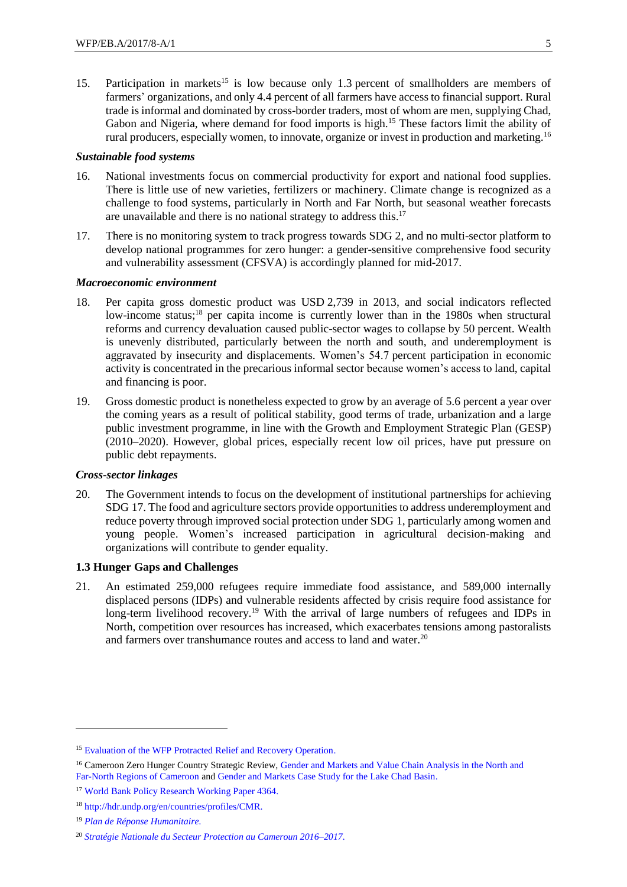15. Participation in markets<sup>15</sup> is low because only 1.3 percent of smallholders are members of farmers' organizations, and only 4.4 percent of all farmers have access to financial support. Rural trade is informal and dominated by cross-border traders, most of whom are men, supplying Chad, Gabon and Nigeria, where demand for food imports is high.<sup>15</sup> These factors limit the ability of rural producers, especially women, to innovate, organize or invest in production and marketing.<sup>16</sup>

#### *Sustainable food systems*

- 16. National investments focus on commercial productivity for export and national food supplies. There is little use of new varieties, fertilizers or machinery. Climate change is recognized as a challenge to food systems, particularly in North and Far North, but seasonal weather forecasts are unavailable and there is no national strategy to address this.<sup>17</sup>
- 17. There is no monitoring system to track progress towards SDG 2, and no multi-sector platform to develop national programmes for zero hunger: a gender-sensitive comprehensive food security and vulnerability assessment (CFSVA) is accordingly planned for mid-2017.

#### *Macroeconomic environment*

- 18. Per capita gross domestic product was USD 2,739 in 2013, and social indicators reflected low-income status;<sup>18</sup> per capita income is currently lower than in the 1980s when structural reforms and currency devaluation caused public-sector wages to collapse by 50 percent. Wealth is unevenly distributed, particularly between the north and south, and underemployment is aggravated by insecurity and displacements. Women's 54.7 percent participation in economic activity is concentrated in the precarious informal sector because women's access to land, capital and financing is poor.
- 19. Gross domestic product is nonetheless expected to grow by an average of 5.6 percent a year over the coming years as a result of political stability, good terms of trade, urbanization and a large public investment programme, in line with the Growth and Employment Strategic Plan (GESP) (2010–2020). However, global prices, especially recent low oil prices, have put pressure on public debt repayments.

#### *Cross-sector linkages*

20. The Government intends to focus on the development of institutional partnerships for achieving SDG 17. The food and agriculture sectors provide opportunities to address underemployment and reduce poverty through improved social protection under SDG 1, particularly among women and young people. Women's increased participation in agricultural decision-making and organizations will contribute to gender equality.

#### **1.3 Hunger Gaps and Challenges**

21. An estimated 259,000 refugees require immediate food assistance, and 589,000 internally displaced persons (IDPs) and vulnerable residents affected by crisis require food assistance for long-term livelihood recovery.<sup>19</sup> With the arrival of large numbers of refugees and IDPs in North, competition over resources has increased, which exacerbates tensions among pastoralists and farmers over transhumance routes and access to land and water.<sup>20</sup>

<sup>&</sup>lt;sup>15</sup> [Evaluation of the WFP Protracted Relief and Recovery Operation.](https://www.wfp.org/content/cameroon-prro-200552-food-and-nutrition-assistance-nigerian-and-central-african-refugees-and)

<sup>&</sup>lt;sup>16</sup> Cameroon Zero Hunger Country Strategic Review, Gender and Markets and Value Chain Analysis in the North and [Far-North Regions of Cameroon](http://documents.wfp.org/stellent/groups/public/documents/ena/wfp287842.pdf) and [Gender and Markets Case Study for the Lake Chad Basin.](http://documents.wfp.org/stellent/groups/public/documents/ena/wfp287848.pdf)

<sup>17</sup> [World Bank Policy Research Working Paper 4364.](https://openknowledge.worldbank.org/bitstream/handle/10986/7362/WPS4364.pdf?sequence=1)

<sup>18</sup> [http://hdr.undp.org/en/countries/profiles/CMR.](http://hdr.undp.org/en/countries/profiles/CMR)

<sup>19</sup> *[Plan de Réponse Humanitaire.](https://www.humanitarianresponse.info/en/node/138095)*

<sup>20</sup> *[Stratégie Nationale du Secteur Protection au Cameroun 2016–2017.](https://www.humanitarianresponse.info/en/operations/cameroon/document/stratégie-nationale-du-secteur-protection-au-cameroun-2016-2017)*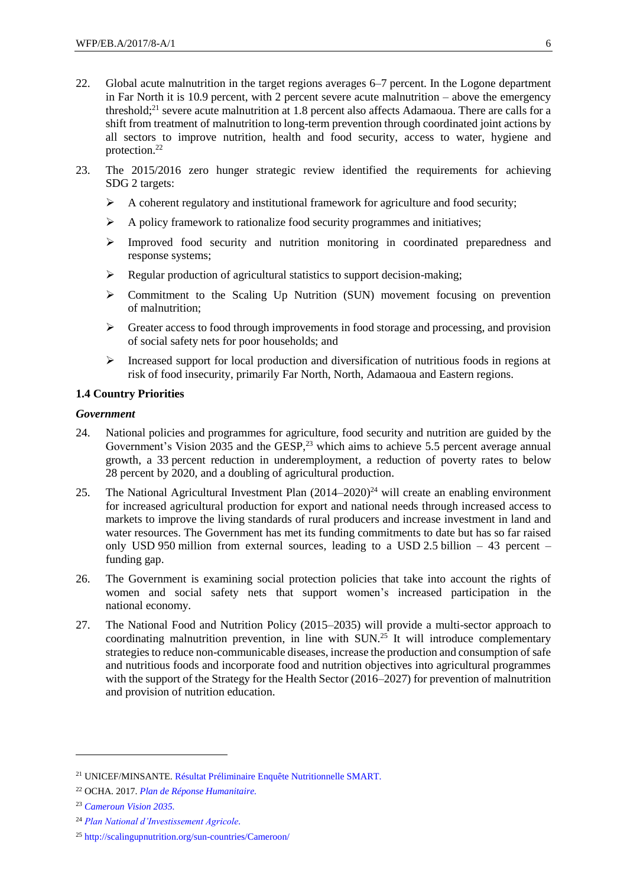- 22. Global acute malnutrition in the target regions averages 6–7 percent. In the Logone department in Far North it is 10.9 percent, with 2 percent severe acute malnutrition – above the emergency threshold; <sup>21</sup> severe acute malnutrition at 1.8 percent also affects Adamaoua. There are calls for a shift from treatment of malnutrition to long-term prevention through coordinated joint actions by all sectors to improve nutrition, health and food security, access to water, hygiene and protection.<sup>22</sup>
- 23. The 2015/2016 zero hunger strategic review identified the requirements for achieving SDG 2 targets:
	- $\triangleright$  A coherent regulatory and institutional framework for agriculture and food security;
	- $\triangleright$  A policy framework to rationalize food security programmes and initiatives;
	- $\triangleright$  Improved food security and nutrition monitoring in coordinated preparedness and response systems;
	- $\triangleright$  Regular production of agricultural statistics to support decision-making:
	- $\triangleright$  Commitment to the Scaling Up Nutrition (SUN) movement focusing on prevention of malnutrition;
	- $\triangleright$  Greater access to food through improvements in food storage and processing, and provision of social safety nets for poor households; and
	- Increased support for local production and diversification of nutritious foods in regions at risk of food insecurity, primarily Far North, North, Adamaoua and Eastern regions.

## **1.4 Country Priorities**

#### *Government*

- 24. National policies and programmes for agriculture, food security and nutrition are guided by the Government's Vision 2035 and the GESP,<sup>23</sup> which aims to achieve 5.5 percent average annual growth, a 33 percent reduction in underemployment, a reduction of poverty rates to below 28 percent by 2020, and a doubling of agricultural production.
- 25. The National Agricultural Investment Plan  $(2014-2020)^{24}$  will create an enabling environment for increased agricultural production for export and national needs through increased access to markets to improve the living standards of rural producers and increase investment in land and water resources. The Government has met its funding commitments to date but has so far raised only USD 950 million from external sources, leading to a USD 2.5 billion – 43 percent – funding gap.
- 26. The Government is examining social protection policies that take into account the rights of women and social safety nets that support women's increased participation in the national economy.
- 27. The National Food and Nutrition Policy (2015–2035) will provide a multi-sector approach to coordinating malnutrition prevention, in line with SUN.<sup>25</sup> It will introduce complementary strategies to reduce non-communicable diseases, increase the production and consumption of safe and nutritious foods and incorporate food and nutrition objectives into agricultural programmes with the support of the Strategy for the Health Sector (2016–2027) for prevention of malnutrition and provision of nutrition education.

<sup>21</sup> UNICEF/MINSANTE. [Résultat Préliminaire Enquête Nutritionnelle SMART.](https://www.humanitarianresponse.info/en/operations/cameroon/document/minsante-unicef-cameroun-résultat-préliminaire-enquête-nutritionnelle)

<sup>22</sup> OCHA. 2017. *[Plan de Réponse Humanitaire.](https://www.humanitarianresponse.info/en/node/138095)*

<sup>23</sup> *[Cameroun Vision 2035.](http://www.camerounenmarche.com/download/?lang=fr&strMode=getDoc&id=31)*

<sup>24</sup> *[Plan National d'Investissement Agricole.](https://www.google.co.uk/url?sa=t&rct=j&q=&esrc=s&source=web&cd=2&cad=rja&uact=8&ved=0ahUKEwjG-rTxi7_RAhWHC8AKHasaB20QFgglMAE&url=https%3A%2F%2Fxa.yimg.com%2Fkq%2Fgroups%2F18227766%2F1908176323%2Fname%2FPNIA_2014_2020_Cameroun_Dernier_draft_AVRIL_)*

<sup>25</sup> <http://scalingupnutrition.org/sun-countries/Cameroon/>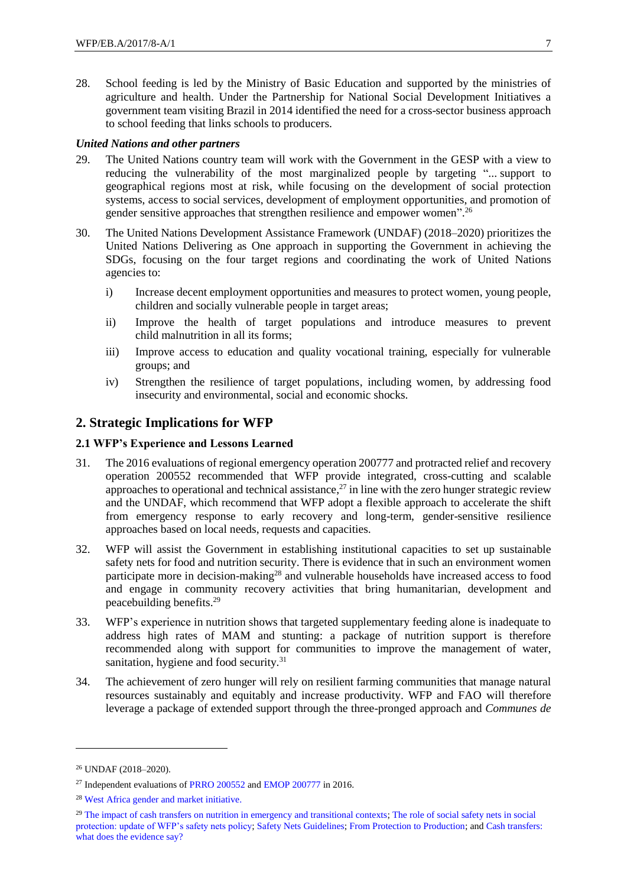28. School feeding is led by the Ministry of Basic Education and supported by the ministries of agriculture and health. Under the Partnership for National Social Development Initiatives a government team visiting Brazil in 2014 identified the need for a cross-sector business approach to school feeding that links schools to producers.

#### *United Nations and other partners*

- 29. The United Nations country team will work with the Government in the GESP with a view to reducing the vulnerability of the most marginalized people by targeting "... support to geographical regions most at risk, while focusing on the development of social protection systems, access to social services, development of employment opportunities, and promotion of gender sensitive approaches that strengthen resilience and empower women". 26
- 30. The United Nations Development Assistance Framework (UNDAF) (2018–2020) prioritizes the United Nations Delivering as One approach in supporting the Government in achieving the SDGs, focusing on the four target regions and coordinating the work of United Nations agencies to:
	- i) Increase decent employment opportunities and measures to protect women, young people, children and socially vulnerable people in target areas;
	- ii) Improve the health of target populations and introduce measures to prevent child malnutrition in all its forms;
	- iii) Improve access to education and quality vocational training, especially for vulnerable groups; and
	- iv) Strengthen the resilience of target populations, including women, by addressing food insecurity and environmental, social and economic shocks.

# **2. Strategic Implications for WFP**

#### **2.1 WFP's Experience and Lessons Learned**

- 31. The 2016 evaluations of regional emergency operation 200777 and protracted relief and recovery operation 200552 recommended that WFP provide integrated, cross-cutting and scalable approaches to operational and technical assistance, $^{27}$  in line with the zero hunger strategic review and the UNDAF, which recommend that WFP adopt a flexible approach to accelerate the shift from emergency response to early recovery and long-term, gender-sensitive resilience approaches based on local needs, requests and capacities.
- 32. WFP will assist the Government in establishing institutional capacities to set up sustainable safety nets for food and nutrition security. There is evidence that in such an environment women participate more in decision-making<sup>28</sup> and vulnerable households have increased access to food and engage in community recovery activities that bring humanitarian, development and peacebuilding benefits. 29
- 33. WFP's experience in nutrition shows that targeted supplementary feeding alone is inadequate to address high rates of MAM and stunting: a package of nutrition support is therefore recommended along with support for communities to improve the management of water, sanitation, hygiene and food security.<sup>31</sup>
- 34. The achievement of zero hunger will rely on resilient farming communities that manage natural resources sustainably and equitably and increase productivity. WFP and FAO will therefore leverage a package of extended support through the three-pronged approach and *Communes de*

<sup>26</sup> UNDAF (2018–2020).

<sup>27</sup> Independent evaluations of [PRRO 200552](https://www.wfp.org/content/cameroon-prro-200552-food-and-nutrition-assistance-nigerian-and-central-african-refugees-and) an[d EMOP 200777](https://www.wfp.org/content/west-africa-regional-emop-200777-providing-life-saving-support-households-cameroon-chad-an-0) in 2016.

<sup>28</sup> [West Africa gender and market initiative.](https://resources.vam.wfp.org/node/103)

<sup>&</sup>lt;sup>29</sup> [The impact of cash transfers on nutrition in emergency and transitional contexts;](https://www.odi.org/publications/6338-cash-transfer-nutrition-emergency-transition-humanitarian) The role of social safety nets in social [protection: update of WFP's safety nets policy;](http://documents.wfp.org/stellent/groups/public/documents/eb/wfpdoc061855.pdf?_ga=1.259300298.1350827426.1481102572) [Safety Nets Guidelines;](http://documents.wfp.org/stellent/groups/public/documents/reports/wfp270032.pdf) [From Protection to Production;](http://www.fao.org/3/a-az994e.pdf) an[d Cash transfers:](https://www.odi.org/publications/10505-cash-transfers-what-does-evidence-say-rigorous-review-impacts-and-role-design-and-implementation)  [what does the evidence say?](https://www.odi.org/publications/10505-cash-transfers-what-does-evidence-say-rigorous-review-impacts-and-role-design-and-implementation)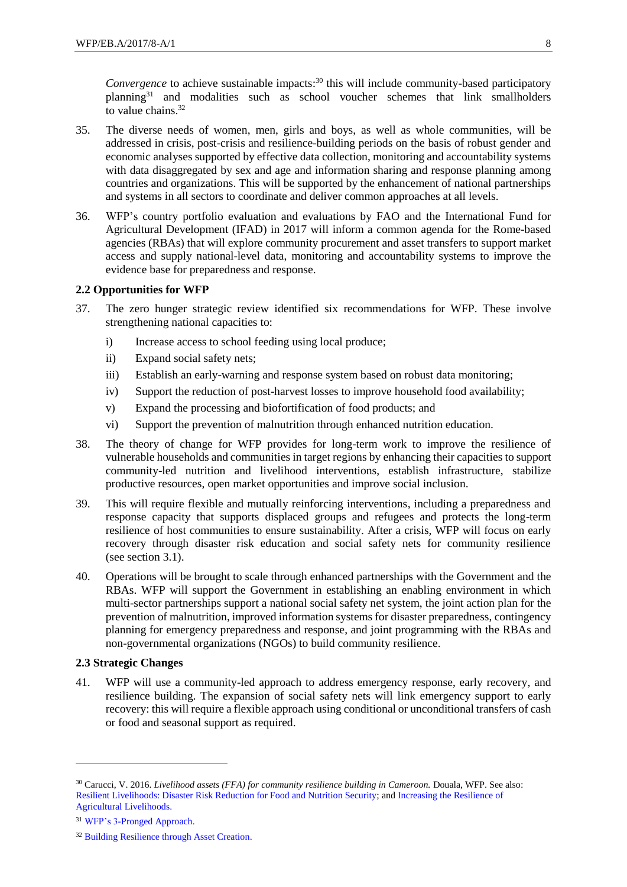Convergence to achieve sustainable impacts:<sup>30</sup> this will include community-based participatory planning<sup>31</sup> and modalities such as school voucher schemes that link smallholders to value chains.<sup>32</sup>

- 35. The diverse needs of women, men, girls and boys, as well as whole communities, will be addressed in crisis, post-crisis and resilience-building periods on the basis of robust gender and economic analyses supported by effective data collection, monitoring and accountability systems with data disaggregated by sex and age and information sharing and response planning among countries and organizations. This will be supported by the enhancement of national partnerships and systems in all sectors to coordinate and deliver common approaches at all levels.
- 36. WFP's country portfolio evaluation and evaluations by FAO and the International Fund for Agricultural Development (IFAD) in 2017 will inform a common agenda for the Rome-based agencies (RBAs) that will explore community procurement and asset transfers to support market access and supply national-level data, monitoring and accountability systems to improve the evidence base for preparedness and response.

#### **2.2 Opportunities for WFP**

- 37. The zero hunger strategic review identified six recommendations for WFP. These involve strengthening national capacities to:
	- i) Increase access to school feeding using local produce;
	- ii) Expand social safety nets;
	- iii) Establish an early-warning and response system based on robust data monitoring;
	- iv) Support the reduction of post-harvest losses to improve household food availability;
	- v) Expand the processing and biofortification of food products; and
	- vi) Support the prevention of malnutrition through enhanced nutrition education.
- 38. The theory of change for WFP provides for long-term work to improve the resilience of vulnerable households and communities in target regions by enhancing their capacities to support community-led nutrition and livelihood interventions, establish infrastructure, stabilize productive resources, open market opportunities and improve social inclusion.
- 39. This will require flexible and mutually reinforcing interventions, including a preparedness and response capacity that supports displaced groups and refugees and protects the long-term resilience of host communities to ensure sustainability. After a crisis, WFP will focus on early recovery through disaster risk education and social safety nets for community resilience (see section 3.1).
- 40. Operations will be brought to scale through enhanced partnerships with the Government and the RBAs. WFP will support the Government in establishing an enabling environment in which multi-sector partnerships support a national social safety net system, the joint action plan for the prevention of malnutrition, improved information systems for disaster preparedness, contingency planning for emergency preparedness and response, and joint programming with the RBAs and non-governmental organizations (NGOs) to build community resilience.

#### **2.3 Strategic Changes**

41. WFP will use a community-led approach to address emergency response, early recovery, and resilience building. The expansion of social safety nets will link emergency support to early recovery: this will require a flexible approach using conditional or unconditional transfers of cash or food and seasonal support as required.

-

<sup>30</sup> Carucci, V. 2016. *Livelihood assets (FFA) for community resilience building in Cameroon.* Douala, WFP. See also: [Resilient Livelihoods: Disaster Risk Reduction for Food and Nutrition Security;](http://www.fao.org/3/a-i3270e.pdf) an[d Increasing the Resilience of](http://www.fao.org/3/a-i5615e.pdf)  [Agricultural Livelihoods.](http://www.fao.org/3/a-i5615e.pdf)

<sup>31</sup> [WFP's 3-Pronged Approach.](http://documents.wfp.org/stellent/groups/public/documents/manual_guide_proced/wfp276340.pdf)

<sup>&</sup>lt;sup>32</sup> [Building Resilience through Asset Creation.](https://www.wfp.org/content/building-resilience-through-asset-creation)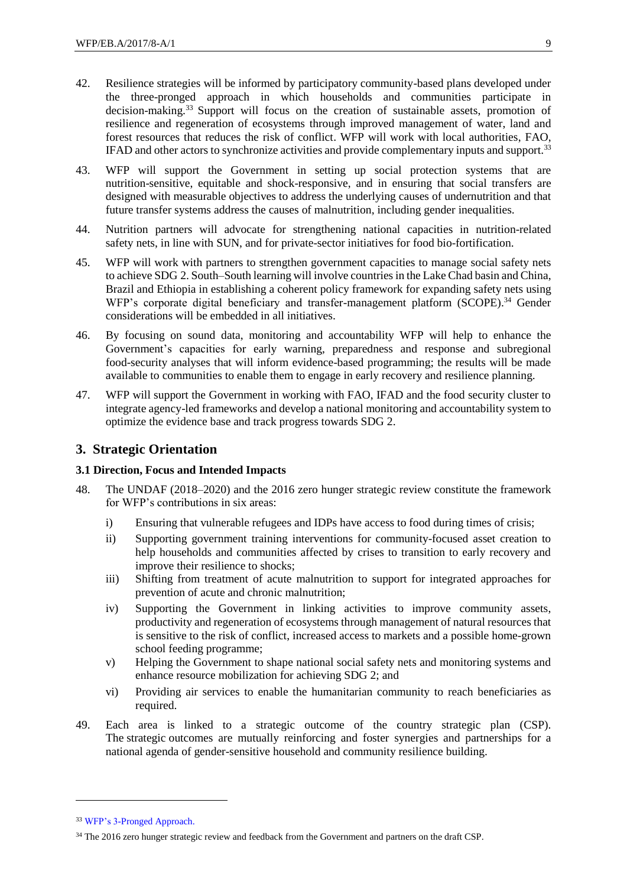- <span id="page-8-0"></span>42. Resilience strategies will be informed by participatory community-based plans developed under the three-pronged approach in which households and communities participate in decision-making.<sup>33</sup> Support will focus on the creation of sustainable assets, promotion of resilience and regeneration of ecosystems through improved management of water, land and forest resources that reduces the risk of conflict. WFP will work with local authorities, FAO, IFAD and other actors to synchronize activities and provide complementary inputs and support.<sup>[33](#page-8-0)</sup>
- 43. WFP will support the Government in setting up social protection systems that are nutrition-sensitive, equitable and shock-responsive, and in ensuring that social transfers are designed with measurable objectives to address the underlying causes of undernutrition and that future transfer systems address the causes of malnutrition, including gender inequalities.
- 44. Nutrition partners will advocate for strengthening national capacities in nutrition-related safety nets, in line with SUN, and for private-sector initiatives for food bio-fortification.
- 45. WFP will work with partners to strengthen government capacities to manage social safety nets to achieve SDG 2. South–South learning will involve countries in the Lake Chad basin and China, Brazil and Ethiopia in establishing a coherent policy framework for expanding safety nets using WFP's corporate digital beneficiary and transfer-management platform (SCOPE).<sup>34</sup> Gender considerations will be embedded in all initiatives.
- 46. By focusing on sound data, monitoring and accountability WFP will help to enhance the Government's capacities for early warning, preparedness and response and subregional food-security analyses that will inform evidence-based programming; the results will be made available to communities to enable them to engage in early recovery and resilience planning.
- 47. WFP will support the Government in working with FAO, IFAD and the food security cluster to integrate agency-led frameworks and develop a national monitoring and accountability system to optimize the evidence base and track progress towards SDG 2.

### **3. Strategic Orientation**

#### **3.1 Direction, Focus and Intended Impacts**

- 48. The UNDAF (2018–2020) and the 2016 zero hunger strategic review constitute the framework for WFP's contributions in six areas:
	- i) Ensuring that vulnerable refugees and IDPs have access to food during times of crisis;
	- ii) Supporting government training interventions for community-focused asset creation to help households and communities affected by crises to transition to early recovery and improve their resilience to shocks;
	- iii) Shifting from treatment of acute malnutrition to support for integrated approaches for prevention of acute and chronic malnutrition;
	- iv) Supporting the Government in linking activities to improve community assets, productivity and regeneration of ecosystems through management of natural resources that is sensitive to the risk of conflict, increased access to markets and a possible home-grown school feeding programme;
	- v) Helping the Government to shape national social safety nets and monitoring systems and enhance resource mobilization for achieving SDG 2; and
	- vi) Providing air services to enable the humanitarian community to reach beneficiaries as required.
- 49. Each area is linked to a strategic outcome of the country strategic plan (CSP). The strategic outcomes are mutually reinforcing and foster synergies and partnerships for a national agenda of gender-sensitive household and community resilience building.

<sup>33</sup> [WFP's 3-Pronged Approach.](http://documents.wfp.org/stellent/groups/public/documents/manual_guide_proced/wfp276340.pdf)

<sup>&</sup>lt;sup>34</sup> The 2016 zero hunger strategic review and feedback from the Government and partners on the draft CSP.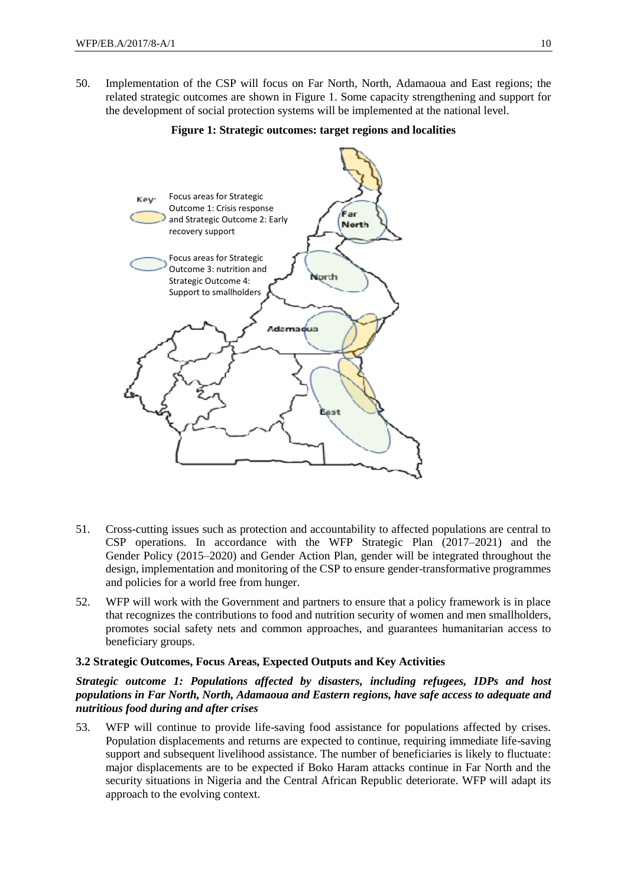50. Implementation of the CSP will focus on Far North, North, Adamaoua and East regions; the related strategic outcomes are shown in Figure 1. Some capacity strengthening and support for the development of social protection systems will be implemented at the national level.



#### **Figure 1: Strategic outcomes: target regions and localities**

- 51. Cross-cutting issues such as protection and accountability to affected populations are central to CSP operations. In accordance with the WFP Strategic Plan (2017–2021) and the Gender Policy (2015–2020) and Gender Action Plan, gender will be integrated throughout the design, implementation and monitoring of the CSP to ensure gender-transformative programmes and policies for a world free from hunger.
- 52. WFP will work with the Government and partners to ensure that a policy framework is in place that recognizes the contributions to food and nutrition security of women and men smallholders, promotes social safety nets and common approaches, and guarantees humanitarian access to beneficiary groups.

#### **3.2 Strategic Outcomes, Focus Areas, Expected Outputs and Key Activities**

#### *Strategic outcome 1: Populations affected by disasters, including refugees, IDPs and host populations in Far North, North, Adamaoua and Eastern regions, have safe access to adequate and nutritious food during and after crises*

53. WFP will continue to provide life-saving food assistance for populations affected by crises. Population displacements and returns are expected to continue, requiring immediate life-saving support and subsequent livelihood assistance. The number of beneficiaries is likely to fluctuate: major displacements are to be expected if Boko Haram attacks continue in Far North and the security situations in Nigeria and the Central African Republic deteriorate. WFP will adapt its approach to the evolving context.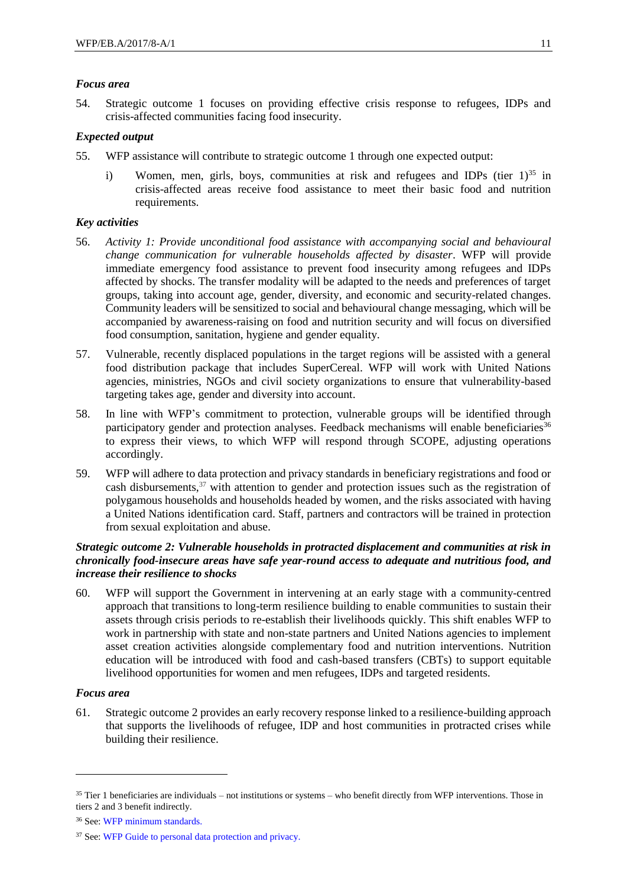#### *Focus area*

54. Strategic outcome 1 focuses on providing effective crisis response to refugees, IDPs and crisis-affected communities facing food insecurity.

#### *Expected output*

- 55. WFP assistance will contribute to strategic outcome 1 through one expected output:
	- i) Women, men, girls, boys, communities at risk and refugees and IDPs (tier  $1$ )<sup>35</sup> in crisis-affected areas receive food assistance to meet their basic food and nutrition requirements.

#### *Key activities*

- 56. *Activity 1: Provide unconditional food assistance with accompanying social and behavioural change communication for vulnerable households affected by disaster*. WFP will provide immediate emergency food assistance to prevent food insecurity among refugees and IDPs affected by shocks. The transfer modality will be adapted to the needs and preferences of target groups, taking into account age, gender, diversity, and economic and security-related changes. Community leaders will be sensitized to social and behavioural change messaging, which will be accompanied by awareness-raising on food and nutrition security and will focus on diversified food consumption, sanitation, hygiene and gender equality.
- 57. Vulnerable, recently displaced populations in the target regions will be assisted with a general food distribution package that includes SuperCereal. WFP will work with United Nations agencies, ministries, NGOs and civil society organizations to ensure that vulnerability-based targeting takes age, gender and diversity into account.
- 58. In line with WFP's commitment to protection, vulnerable groups will be identified through participatory gender and protection analyses. Feedback mechanisms will enable beneficiaries<sup>36</sup> to express their views, to which WFP will respond through SCOPE, adjusting operations accordingly.
- 59. WFP will adhere to data protection and privacy standards in beneficiary registrations and food or cash disbursements,<sup>37</sup> with attention to gender and protection issues such as the registration of polygamous households and households headed by women, and the risks associated with having a United Nations identification card. Staff, partners and contractors will be trained in protection from sexual exploitation and abuse.

#### *Strategic outcome 2: Vulnerable households in protracted displacement and communities at risk in chronically food-insecure areas have safe year-round access to adequate and nutritious food, and increase their resilience to shocks*

60. WFP will support the Government in intervening at an early stage with a community-centred approach that transitions to long-term resilience building to enable communities to sustain their assets through crisis periods to re-establish their livelihoods quickly. This shift enables WFP to work in partnership with state and non-state partners and United Nations agencies to implement asset creation activities alongside complementary food and nutrition interventions. Nutrition education will be introduced with food and cash-based transfers (CBTs) to support equitable livelihood opportunities for women and men refugees, IDPs and targeted residents.

#### *Focus area*

1

61. Strategic outcome 2 provides an early recovery response linked to a resilience-building approach that supports the livelihoods of refugee, IDP and host communities in protracted crises while building their resilience.

 $35$  Tier 1 beneficiaries are individuals – not institutions or systems – who benefit directly from WFP interventions. Those in tiers 2 and 3 benefit indirectly.

<sup>36</sup> See: [WFP minimum standards.](http://newgo.wfp.org/documents/minimum-standards-for-implementing-a-cfm)

<sup>37</sup> See: [WFP Guide to personal data protection and privacy.](http://newgo.wfp.org/documents/wfp-guide-to-personal-data-protection-and-privacy)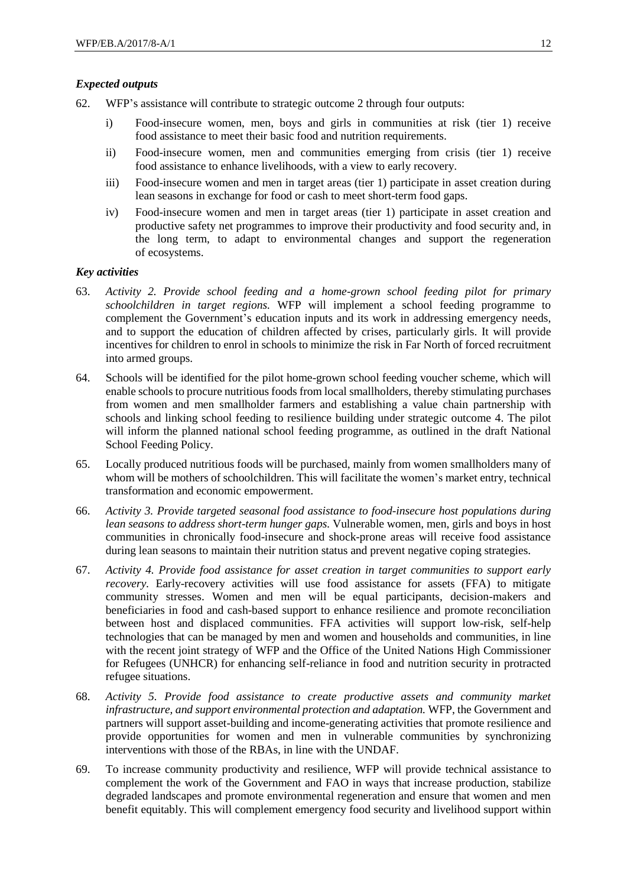#### *Expected outputs*

- 62. WFP's assistance will contribute to strategic outcome 2 through four outputs:
	- i) Food-insecure women, men, boys and girls in communities at risk (tier 1) receive food assistance to meet their basic food and nutrition requirements.
	- ii) Food-insecure women, men and communities emerging from crisis (tier 1) receive food assistance to enhance livelihoods, with a view to early recovery.
	- iii) Food-insecure women and men in target areas (tier 1) participate in asset creation during lean seasons in exchange for food or cash to meet short-term food gaps.
	- iv) Food-insecure women and men in target areas (tier 1) participate in asset creation and productive safety net programmes to improve their productivity and food security and, in the long term, to adapt to environmental changes and support the regeneration of ecosystems.

#### *Key activities*

- 63. *Activity 2. Provide school feeding and a home-grown school feeding pilot for primary schoolchildren in target regions.* WFP will implement a school feeding programme to complement the Government's education inputs and its work in addressing emergency needs, and to support the education of children affected by crises, particularly girls. It will provide incentives for children to enrol in schools to minimize the risk in Far North of forced recruitment into armed groups.
- 64. Schools will be identified for the pilot home-grown school feeding voucher scheme, which will enable schools to procure nutritious foods from local smallholders, thereby stimulating purchases from women and men smallholder farmers and establishing a value chain partnership with schools and linking school feeding to resilience building under strategic outcome 4. The pilot will inform the planned national school feeding programme, as outlined in the draft National School Feeding Policy.
- 65. Locally produced nutritious foods will be purchased, mainly from women smallholders many of whom will be mothers of schoolchildren. This will facilitate the women's market entry, technical transformation and economic empowerment.
- 66. *Activity 3. Provide targeted seasonal food assistance to food-insecure host populations during lean seasons to address short-term hunger gaps.* Vulnerable women, men, girls and boys in host communities in chronically food-insecure and shock-prone areas will receive food assistance during lean seasons to maintain their nutrition status and prevent negative coping strategies.
- 67. *Activity 4. Provide food assistance for asset creation in target communities to support early recovery.* Early-recovery activities will use food assistance for assets (FFA) to mitigate community stresses. Women and men will be equal participants, decision-makers and beneficiaries in food and cash-based support to enhance resilience and promote reconciliation between host and displaced communities. FFA activities will support low-risk, self-help technologies that can be managed by men and women and households and communities, in line with the recent joint strategy of WFP and the Office of the United Nations High Commissioner for Refugees (UNHCR) for enhancing self-reliance in food and nutrition security in protracted refugee situations.
- 68. *Activity 5. Provide food assistance to create productive assets and community market infrastructure, and support environmental protection and adaptation.* WFP, the Government and partners will support asset-building and income-generating activities that promote resilience and provide opportunities for women and men in vulnerable communities by synchronizing interventions with those of the RBAs, in line with the UNDAF.
- 69. To increase community productivity and resilience, WFP will provide technical assistance to complement the work of the Government and FAO in ways that increase production, stabilize degraded landscapes and promote environmental regeneration and ensure that women and men benefit equitably. This will complement emergency food security and livelihood support within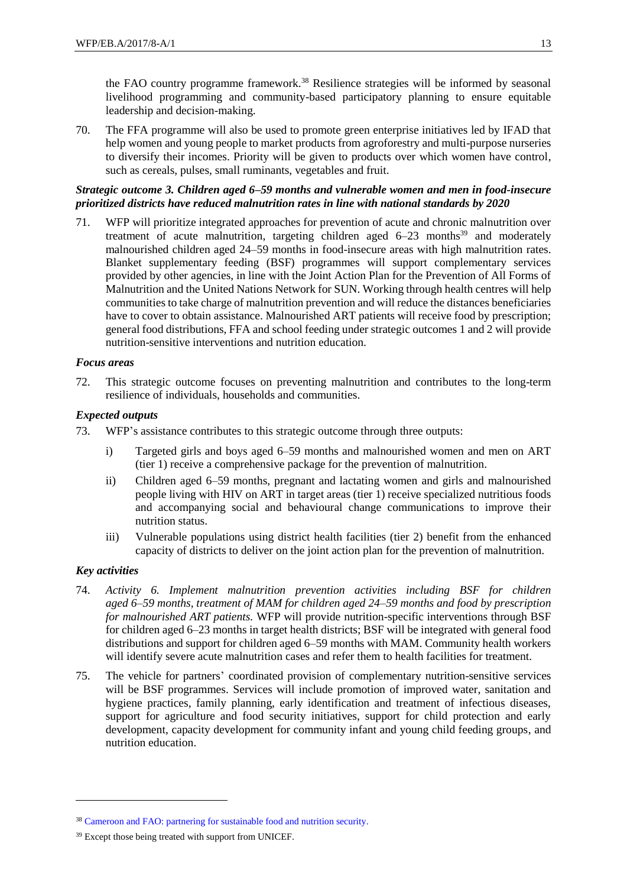the FAO country programme framework.<sup>38</sup> Resilience strategies will be informed by seasonal livelihood programming and community-based participatory planning to ensure equitable leadership and decision-making.

70. The FFA programme will also be used to promote green enterprise initiatives led by IFAD that help women and young people to market products from agroforestry and multi-purpose nurseries to diversify their incomes. Priority will be given to products over which women have control, such as cereals, pulses, small ruminants, vegetables and fruit.

#### *Strategic outcome 3. Children aged 6–59 months and vulnerable women and men in food-insecure prioritized districts have reduced malnutrition rates in line with national standards by 2020*

71. WFP will prioritize integrated approaches for prevention of acute and chronic malnutrition over treatment of acute malnutrition, targeting children aged  $6-23$  months<sup>39</sup> and moderately malnourished children aged 24–59 months in food-insecure areas with high malnutrition rates. Blanket supplementary feeding (BSF) programmes will support complementary services provided by other agencies, in line with the Joint Action Plan for the Prevention of All Forms of Malnutrition and the United Nations Network for SUN. Working through health centres will help communities to take charge of malnutrition prevention and will reduce the distances beneficiaries have to cover to obtain assistance. Malnourished ART patients will receive food by prescription; general food distributions, FFA and school feeding under strategic outcomes 1 and 2 will provide nutrition-sensitive interventions and nutrition education.

#### *Focus areas*

72. This strategic outcome focuses on preventing malnutrition and contributes to the long-term resilience of individuals, households and communities.

#### *Expected outputs*

- 73. WFP's assistance contributes to this strategic outcome through three outputs:
	- i) Targeted girls and boys aged 6–59 months and malnourished women and men on ART (tier 1) receive a comprehensive package for the prevention of malnutrition.
	- ii) Children aged 6–59 months, pregnant and lactating women and girls and malnourished people living with HIV on ART in target areas (tier 1) receive specialized nutritious foods and accompanying social and behavioural change communications to improve their nutrition status.
	- iii) Vulnerable populations using district health facilities (tier 2) benefit from the enhanced capacity of districts to deliver on the joint action plan for the prevention of malnutrition.

#### *Key activities*

- 74. *Activity 6. Implement malnutrition prevention activities including BSF for children aged 6–59 months, treatment of MAM for children aged 24–59 months and food by prescription for malnourished ART patients.* WFP will provide nutrition-specific interventions through BSF for children aged 6–23 months in target health districts; BSF will be integrated with general food distributions and support for children aged 6–59 months with MAM. Community health workers will identify severe acute malnutrition cases and refer them to health facilities for treatment.
- 75. The vehicle for partners' coordinated provision of complementary nutrition-sensitive services will be BSF programmes. Services will include promotion of improved water, sanitation and hygiene practices, family planning, early identification and treatment of infectious diseases, support for agriculture and food security initiatives, support for child protection and early development, capacity development for community infant and young child feeding groups, and nutrition education.

<sup>&</sup>lt;sup>38</sup> [Cameroon and FAO: partnering for sustainable food and nutrition security.](http://www.fao.org/3/a-az143e.pdf)

<sup>39</sup> Except those being treated with support from UNICEF.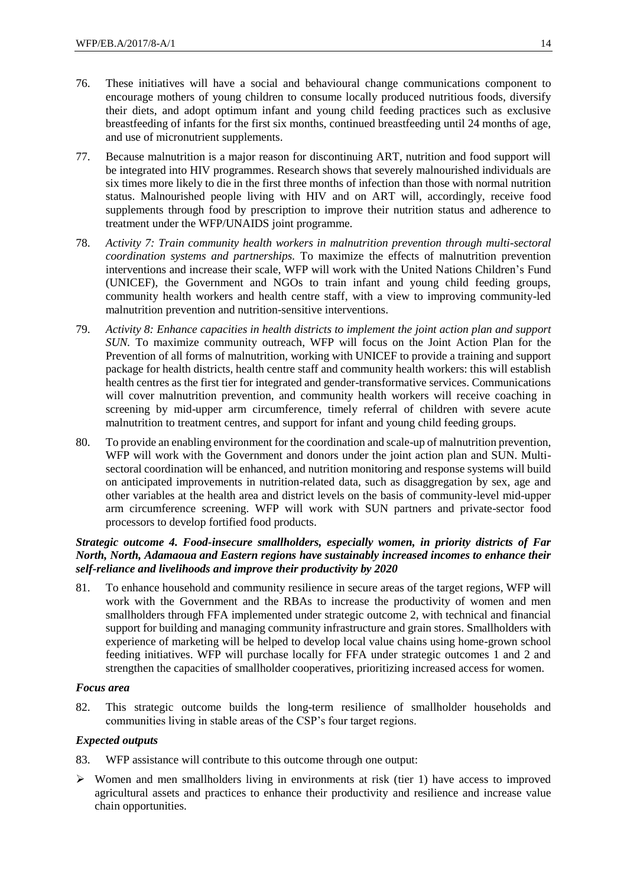- 76. These initiatives will have a social and behavioural change communications component to encourage mothers of young children to consume locally produced nutritious foods, diversify their diets, and adopt optimum infant and young child feeding practices such as exclusive breastfeeding of infants for the first six months, continued breastfeeding until 24 months of age, and use of micronutrient supplements.
- 77. Because malnutrition is a major reason for discontinuing ART, nutrition and food support will be integrated into HIV programmes. Research shows that severely malnourished individuals are six times more likely to die in the first three months of infection than those with normal nutrition status. Malnourished people living with HIV and on ART will, accordingly, receive food supplements through food by prescription to improve their nutrition status and adherence to treatment under the WFP/UNAIDS joint programme.
- 78. *Activity 7: Train community health workers in malnutrition prevention through multi-sectoral coordination systems and partnerships.* To maximize the effects of malnutrition prevention interventions and increase their scale, WFP will work with the United Nations Children's Fund (UNICEF), the Government and NGOs to train infant and young child feeding groups, community health workers and health centre staff, with a view to improving community-led malnutrition prevention and nutrition-sensitive interventions.
- 79. *Activity 8: Enhance capacities in health districts to implement the joint action plan and support SUN.* To maximize community outreach, WFP will focus on the Joint Action Plan for the Prevention of all forms of malnutrition, working with UNICEF to provide a training and support package for health districts, health centre staff and community health workers: this will establish health centres as the first tier for integrated and gender-transformative services. Communications will cover malnutrition prevention, and community health workers will receive coaching in screening by mid-upper arm circumference, timely referral of children with severe acute malnutrition to treatment centres, and support for infant and young child feeding groups.
- 80. To provide an enabling environment for the coordination and scale-up of malnutrition prevention, WFP will work with the Government and donors under the joint action plan and SUN. Multisectoral coordination will be enhanced, and nutrition monitoring and response systems will build on anticipated improvements in nutrition-related data, such as disaggregation by sex, age and other variables at the health area and district levels on the basis of community-level mid-upper arm circumference screening. WFP will work with SUN partners and private-sector food processors to develop fortified food products.

#### *Strategic outcome 4. Food-insecure smallholders, especially women, in priority districts of Far North, North, Adamaoua and Eastern regions have sustainably increased incomes to enhance their self-reliance and livelihoods and improve their productivity by 2020*

81. To enhance household and community resilience in secure areas of the target regions, WFP will work with the Government and the RBAs to increase the productivity of women and men smallholders through FFA implemented under strategic outcome 2, with technical and financial support for building and managing community infrastructure and grain stores. Smallholders with experience of marketing will be helped to develop local value chains using home-grown school feeding initiatives. WFP will purchase locally for FFA under strategic outcomes 1 and 2 and strengthen the capacities of smallholder cooperatives, prioritizing increased access for women.

#### *Focus area*

82. This strategic outcome builds the long-term resilience of smallholder households and communities living in stable areas of the CSP's four target regions.

#### *Expected outputs*

- 83. WFP assistance will contribute to this outcome through one output:
- $\triangleright$  Women and men smallholders living in environments at risk (tier 1) have access to improved agricultural assets and practices to enhance their productivity and resilience and increase value chain opportunities.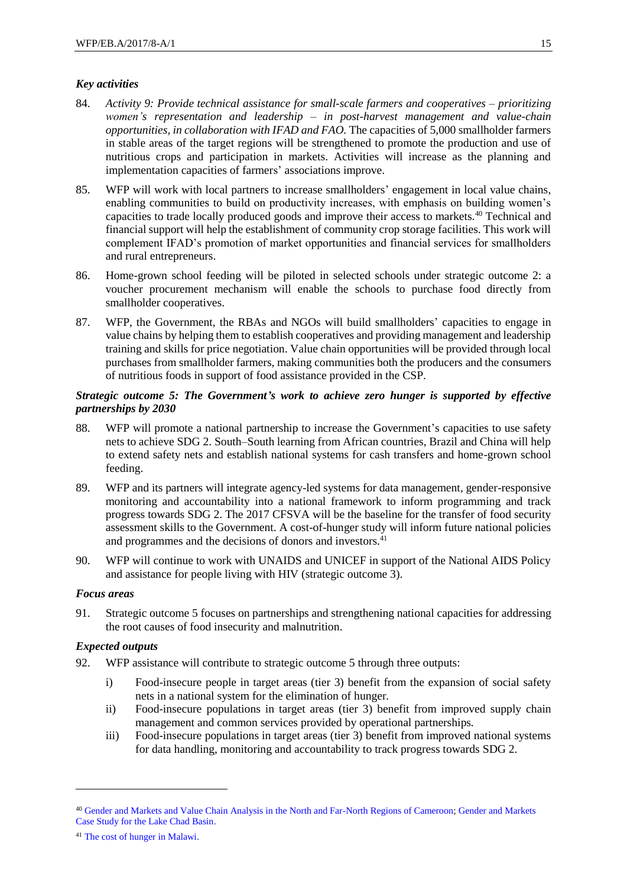#### *Key activities*

- 84. *Activity 9: Provide technical assistance for small-scale farmers and cooperatives – prioritizing women's representation and leadership – in post-harvest management and value-chain opportunities, in collaboration with IFAD and FAO.* The capacities of 5,000 smallholder farmers in stable areas of the target regions will be strengthened to promote the production and use of nutritious crops and participation in markets. Activities will increase as the planning and implementation capacities of farmers' associations improve.
- 85. WFP will work with local partners to increase smallholders' engagement in local value chains, enabling communities to build on productivity increases, with emphasis on building women's capacities to trade locally produced goods and improve their access to markets.<sup>40</sup> Technical and financial support will help the establishment of community crop storage facilities. This work will complement IFAD's promotion of market opportunities and financial services for smallholders and rural entrepreneurs.
- 86. Home-grown school feeding will be piloted in selected schools under strategic outcome 2: a voucher procurement mechanism will enable the schools to purchase food directly from smallholder cooperatives.
- 87. WFP, the Government, the RBAs and NGOs will build smallholders' capacities to engage in value chains by helping them to establish cooperatives and providing management and leadership training and skills for price negotiation. Value chain opportunities will be provided through local purchases from smallholder farmers, making communities both the producers and the consumers of nutritious foods in support of food assistance provided in the CSP.

#### *Strategic outcome 5: The Government's work to achieve zero hunger is supported by effective partnerships by 2030*

- 88. WFP will promote a national partnership to increase the Government's capacities to use safety nets to achieve SDG 2. South–South learning from African countries, Brazil and China will help to extend safety nets and establish national systems for cash transfers and home-grown school feeding.
- 89. WFP and its partners will integrate agency-led systems for data management, gender-responsive monitoring and accountability into a national framework to inform programming and track progress towards SDG 2. The 2017 CFSVA will be the baseline for the transfer of food security assessment skills to the Government. A cost-of-hunger study will inform future national policies and programmes and the decisions of donors and investors.<sup>41</sup>
- 90. WFP will continue to work with UNAIDS and UNICEF in support of the National AIDS Policy and assistance for people living with HIV (strategic outcome 3).

#### *Focus areas*

1

91. Strategic outcome 5 focuses on partnerships and strengthening national capacities for addressing the root causes of food insecurity and malnutrition.

#### *Expected outputs*

- 92. WFP assistance will contribute to strategic outcome 5 through three outputs:
	- i) Food-insecure people in target areas (tier 3) benefit from the expansion of social safety nets in a national system for the elimination of hunger*.*
	- ii) Food-insecure populations in target areas (tier 3) benefit from improved supply chain management and common services provided by operational partnerships*.*
	- iii) Food-insecure populations in target areas (tier 3) benefit from improved national systems for data handling, monitoring and accountability to track progress towards SDG 2.

<sup>40</sup> [Gender and Markets and Value Chain Analysis in the North and Far-North Regions of Cameroon;](http://documents.wfp.org/stellent/groups/public/documents/ena/wfp287842.pdf) [Gender and Markets](http://documents.wfp.org/stellent/groups/public/documents/ena/wfp287848.pdf)  [Case Study for the Lake Chad Basin.](http://documents.wfp.org/stellent/groups/public/documents/ena/wfp287848.pdf)

<sup>41</sup> [The cost of hunger in Malawi.](https://www.wfp.org/content/cost-hunger-malawi)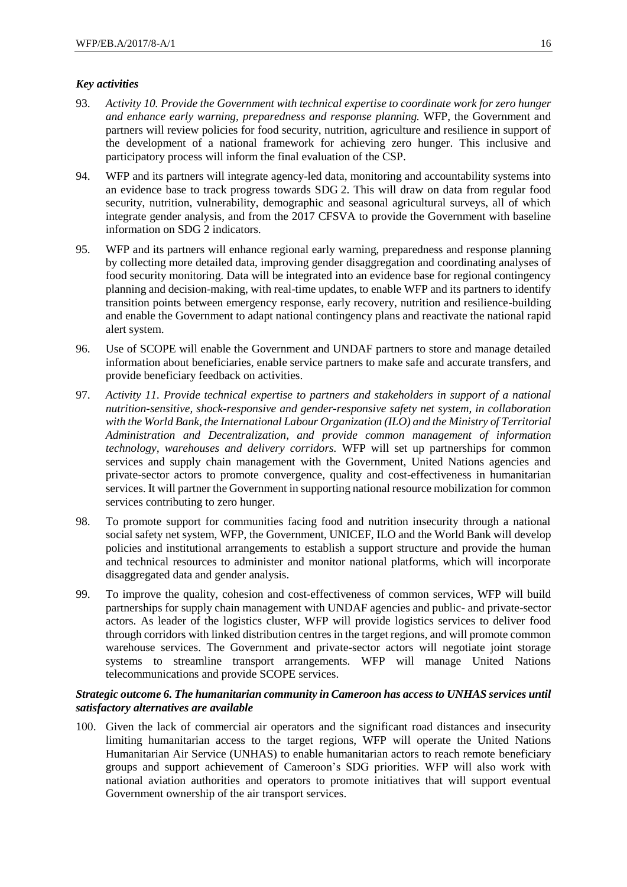#### *Key activities*

- 93. *Activity 10. Provide the Government with technical expertise to coordinate work for zero hunger and enhance early warning, preparedness and response planning.* WFP, the Government and partners will review policies for food security, nutrition, agriculture and resilience in support of the development of a national framework for achieving zero hunger. This inclusive and participatory process will inform the final evaluation of the CSP.
- 94. WFP and its partners will integrate agency-led data, monitoring and accountability systems into an evidence base to track progress towards SDG 2. This will draw on data from regular food security, nutrition, vulnerability, demographic and seasonal agricultural surveys, all of which integrate gender analysis, and from the 2017 CFSVA to provide the Government with baseline information on SDG 2 indicators.
- 95. WFP and its partners will enhance regional early warning, preparedness and response planning by collecting more detailed data, improving gender disaggregation and coordinating analyses of food security monitoring. Data will be integrated into an evidence base for regional contingency planning and decision-making, with real-time updates, to enable WFP and its partners to identify transition points between emergency response, early recovery, nutrition and resilience-building and enable the Government to adapt national contingency plans and reactivate the national rapid alert system.
- 96. Use of SCOPE will enable the Government and UNDAF partners to store and manage detailed information about beneficiaries, enable service partners to make safe and accurate transfers, and provide beneficiary feedback on activities.
- 97. *Activity 11. Provide technical expertise to partners and stakeholders in support of a national nutrition-sensitive, shock-responsive and gender-responsive safety net system, in collaboration with the World Bank, the International Labour Organization (ILO) and the Ministry of Territorial Administration and Decentralization, and provide common management of information technology, warehouses and delivery corridors.* WFP will set up partnerships for common services and supply chain management with the Government, United Nations agencies and private-sector actors to promote convergence, quality and cost-effectiveness in humanitarian services. It will partner the Government in supporting national resource mobilization for common services contributing to zero hunger.
- 98. To promote support for communities facing food and nutrition insecurity through a national social safety net system, WFP, the Government, UNICEF, ILO and the World Bank will develop policies and institutional arrangements to establish a support structure and provide the human and technical resources to administer and monitor national platforms, which will incorporate disaggregated data and gender analysis.
- 99. To improve the quality, cohesion and cost-effectiveness of common services, WFP will build partnerships for supply chain management with UNDAF agencies and public- and private-sector actors. As leader of the logistics cluster, WFP will provide logistics services to deliver food through corridors with linked distribution centres in the target regions, and will promote common warehouse services. The Government and private-sector actors will negotiate joint storage systems to streamline transport arrangements. WFP will manage United Nations telecommunications and provide SCOPE services.

#### *Strategic outcome 6. The humanitarian community in Cameroon has access to UNHAS services until satisfactory alternatives are available*

100. Given the lack of commercial air operators and the significant road distances and insecurity limiting humanitarian access to the target regions, WFP will operate the United Nations Humanitarian Air Service (UNHAS) to enable humanitarian actors to reach remote beneficiary groups and support achievement of Cameroon's SDG priorities. WFP will also work with national aviation authorities and operators to promote initiatives that will support eventual Government ownership of the air transport services.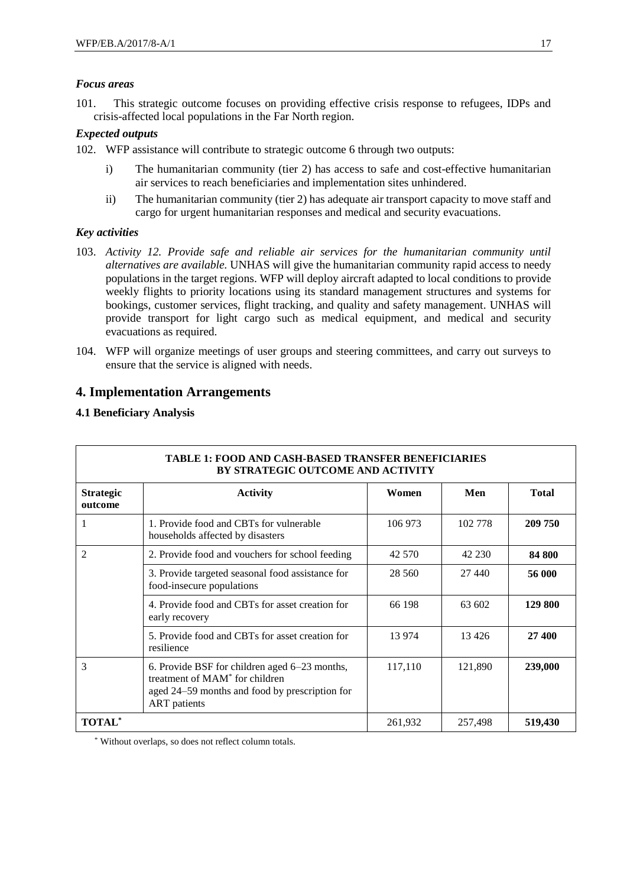#### *Focus areas*

101. This strategic outcome focuses on providing effective crisis response to refugees, IDPs and crisis-affected local populations in the Far North region.

#### *Expected outputs*

102. WFP assistance will contribute to strategic outcome 6 through two outputs:

- i) The humanitarian community (tier 2) has access to safe and cost-effective humanitarian air services to reach beneficiaries and implementation sites unhindered.
- ii) The humanitarian community (tier 2) has adequate air transport capacity to move staff and cargo for urgent humanitarian responses and medical and security evacuations.

#### *Key activities*

- 103. *Activity 12. Provide safe and reliable air services for the humanitarian community until alternatives are available.* UNHAS will give the humanitarian community rapid access to needy populations in the target regions. WFP will deploy aircraft adapted to local conditions to provide weekly flights to priority locations using its standard management structures and systems for bookings, customer services, flight tracking, and quality and safety management. UNHAS will provide transport for light cargo such as medical equipment, and medical and security evacuations as required.
- 104. WFP will organize meetings of user groups and steering committees, and carry out surveys to ensure that the service is aligned with needs.

## **4. Implementation Arrangements**

#### **4.1 Beneficiary Analysis**

| <b>TABLE 1: FOOD AND CASH-BASED TRANSFER BENEFICIARIES</b><br><b>BY STRATEGIC OUTCOME AND ACTIVITY</b> |                                                                                                                                                                      |          |         |              |  |
|--------------------------------------------------------------------------------------------------------|----------------------------------------------------------------------------------------------------------------------------------------------------------------------|----------|---------|--------------|--|
| <b>Strategic</b><br>outcome                                                                            | <b>Activity</b>                                                                                                                                                      | Women    | Men     | <b>Total</b> |  |
|                                                                                                        | 1. Provide food and CBTs for vulnerable<br>households affected by disasters                                                                                          | 106 973  | 102 778 | 209 750      |  |
| 2                                                                                                      | 2. Provide food and vouchers for school feeding                                                                                                                      | 42 570   | 42 230  | 84 800       |  |
|                                                                                                        | 3. Provide targeted seasonal food assistance for<br>food-insecure populations                                                                                        | 28 5 6 0 | 27 440  | 56 000       |  |
|                                                                                                        | 4. Provide food and CBTs for asset creation for<br>early recovery                                                                                                    | 66 198   | 63 602  | 129 800      |  |
|                                                                                                        | 5. Provide food and CBTs for asset creation for<br>resilience                                                                                                        | 13 974   | 13 4 26 | 27 400       |  |
| 3                                                                                                      | 6. Provide BSF for children aged 6–23 months,<br>treatment of MAM <sup>*</sup> for children<br>aged 24–59 months and food by prescription for<br><b>ART</b> patients | 117,110  | 121,890 | 239,000      |  |
| <b>TOTAL*</b>                                                                                          |                                                                                                                                                                      | 261,932  | 257,498 | 519,430      |  |

\* Without overlaps, so does not reflect column totals.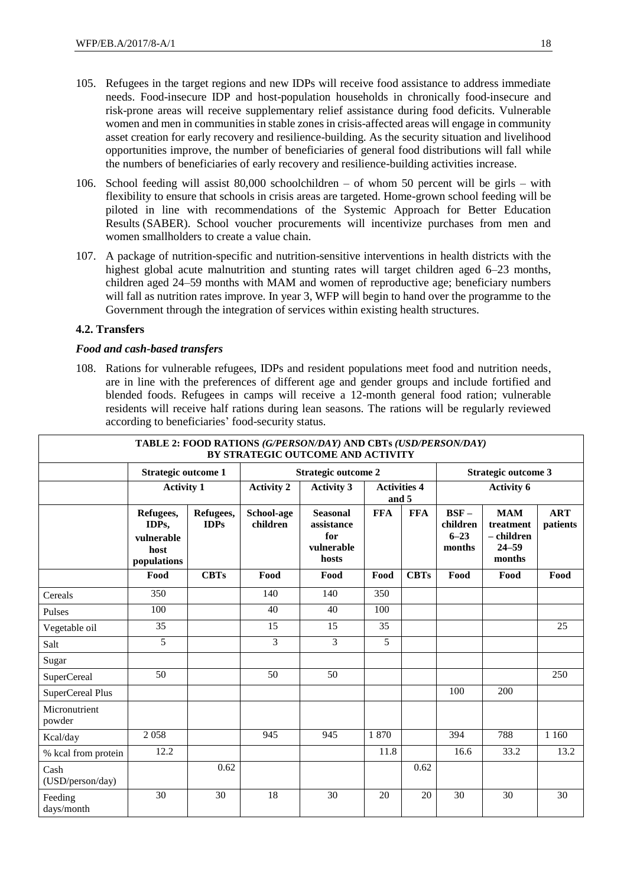- 105. Refugees in the target regions and new IDPs will receive food assistance to address immediate needs. Food-insecure IDP and host-population households in chronically food-insecure and risk-prone areas will receive supplementary relief assistance during food deficits. Vulnerable women and men in communitiesin stable zones in crisis-affected areas will engage in community asset creation for early recovery and resilience-building. As the security situation and livelihood opportunities improve, the number of beneficiaries of general food distributions will fall while the numbers of beneficiaries of early recovery and resilience-building activities increase.
- 106. School feeding will assist 80,000 schoolchildren of whom 50 percent will be girls with flexibility to ensure that schools in crisis areas are targeted. Home-grown school feeding will be piloted in line with recommendations of the Systemic Approach for Better Education Results (SABER). School voucher procurements will incentivize purchases from men and women smallholders to create a value chain.
- 107. A package of nutrition-specific and nutrition-sensitive interventions in health districts with the highest global acute malnutrition and stunting rates will target children aged 6–23 months, children aged 24–59 months with MAM and women of reproductive age; beneficiary numbers will fall as nutrition rates improve. In year 3, WFP will begin to hand over the programme to the Government through the integration of services within existing health structures.

#### **4.2. Transfers**

#### *Food and cash-based transfers*

108. Rations for vulnerable refugees, IDPs and resident populations meet food and nutrition needs, are in line with the preferences of different age and gender groups and include fortified and blended foods. Refugees in camps will receive a 12-month general food ration; vulnerable residents will receive half rations during lean seasons. The rations will be regularly reviewed according to beneficiaries' food-security status.

| TABLE 2: FOOD RATIONS (G/PERSON/DAY) AND CBTs (USD/PERSON/DAY)<br>BY STRATEGIC OUTCOME AND ACTIVITY |                                                         |                          |                            |                                                             |            |                            |                                           |                                                              |                        |
|-----------------------------------------------------------------------------------------------------|---------------------------------------------------------|--------------------------|----------------------------|-------------------------------------------------------------|------------|----------------------------|-------------------------------------------|--------------------------------------------------------------|------------------------|
|                                                                                                     | <b>Strategic outcome 1</b>                              |                          | <b>Strategic outcome 2</b> |                                                             |            | <b>Strategic outcome 3</b> |                                           |                                                              |                        |
|                                                                                                     | <b>Activity 1</b>                                       |                          | <b>Activity 2</b>          | <b>Activity 3</b><br><b>Activities 4</b><br>and 5           |            | <b>Activity 6</b>          |                                           |                                                              |                        |
|                                                                                                     | Refugees,<br>IDPs,<br>vulnerable<br>host<br>populations | Refugees,<br><b>IDPs</b> | School-age<br>children     | <b>Seasonal</b><br>assistance<br>for<br>vulnerable<br>hosts | <b>FFA</b> | <b>FFA</b>                 | $BSF -$<br>children<br>$6 - 23$<br>months | <b>MAM</b><br>treatment<br>– children<br>$24 - 59$<br>months | <b>ART</b><br>patients |
|                                                                                                     | Food                                                    | <b>CBTs</b>              | Food                       | Food                                                        | Food       | <b>CBTs</b>                | Food                                      | Food                                                         | Food                   |
| Cereals                                                                                             | 350                                                     |                          | 140                        | 140                                                         | 350        |                            |                                           |                                                              |                        |
| Pulses                                                                                              | 100                                                     |                          | 40                         | 40                                                          | 100        |                            |                                           |                                                              |                        |
| Vegetable oil                                                                                       | 35                                                      |                          | 15                         | 15                                                          | 35         |                            |                                           |                                                              | 25                     |
| Salt                                                                                                | 5                                                       |                          | 3                          | 3                                                           | 5          |                            |                                           |                                                              |                        |
| Sugar                                                                                               |                                                         |                          |                            |                                                             |            |                            |                                           |                                                              |                        |
| SuperCereal                                                                                         | 50                                                      |                          | 50                         | 50                                                          |            |                            |                                           |                                                              | 250                    |
| <b>SuperCereal Plus</b>                                                                             |                                                         |                          |                            |                                                             |            |                            | 100                                       | 200                                                          |                        |
| Micronutrient<br>powder                                                                             |                                                         |                          |                            |                                                             |            |                            |                                           |                                                              |                        |
| Kcal/day                                                                                            | 2058                                                    |                          | 945                        | 945                                                         | 1870       |                            | 394                                       | 788                                                          | 1 1 6 0                |
| % kcal from protein                                                                                 | 12.2                                                    |                          |                            |                                                             | 11.8       |                            | 16.6                                      | 33.2                                                         | 13.2                   |
| Cash<br>(USD/person/day)                                                                            |                                                         | 0.62                     |                            |                                                             |            | 0.62                       |                                           |                                                              |                        |
| Feeding<br>days/month                                                                               | 30                                                      | 30                       | 18                         | 30                                                          | 20         | 20                         | 30                                        | 30                                                           | 30                     |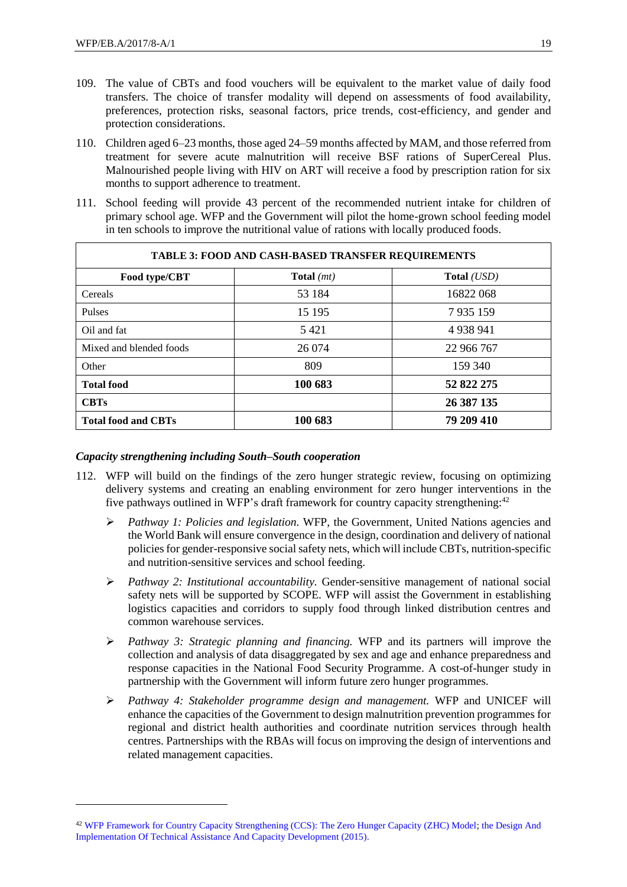-

- 109. The value of CBTs and food vouchers will be equivalent to the market value of daily food transfers. The choice of transfer modality will depend on assessments of food availability, preferences, protection risks, seasonal factors, price trends, cost-efficiency, and gender and protection considerations.
- 110. Children aged 6–23 months, those aged 24–59 months affected by MAM, and those referred from treatment for severe acute malnutrition will receive BSF rations of SuperCereal Plus. Malnourished people living with HIV on ART will receive a food by prescription ration for six months to support adherence to treatment.
- 111. School feeding will provide 43 percent of the recommended nutrient intake for children of primary school age. WFP and the Government will pilot the home-grown school feeding model in ten schools to improve the nutritional value of rations with locally produced foods.

| <b>TABLE 3: FOOD AND CASH-BASED TRANSFER REQUIREMENTS</b> |              |             |  |
|-----------------------------------------------------------|--------------|-------------|--|
| Food type/CBT                                             | Total $(mt)$ | Total (USD) |  |
| Cereals                                                   | 53 184       | 16822 068   |  |
| Pulses                                                    | 15 195       | 7935159     |  |
| Oil and fat                                               | 5421         | 4 9 38 9 41 |  |
| Mixed and blended foods                                   | 26 074       | 22 966 767  |  |
| Other                                                     | 809          | 159 340     |  |
| <b>Total food</b>                                         | 100 683      | 52 822 275  |  |
| <b>CBTs</b>                                               |              | 26 387 135  |  |
| <b>Total food and CBTs</b>                                | 100 683      | 79 209 410  |  |

#### *Capacity strengthening including South–South cooperation*

- 112. WFP will build on the findings of the zero hunger strategic review, focusing on optimizing delivery systems and creating an enabling environment for zero hunger interventions in the five pathways outlined in WFP's draft framework for country capacity strengthening:<sup>42</sup>
	- *Pathway 1: Policies and legislation.* WFP, the Government, United Nations agencies and the World Bank will ensure convergence in the design, coordination and delivery of national policies for gender-responsive social safety nets, which will include CBTs, nutrition-specific and nutrition-sensitive services and school feeding.
	- *Pathway 2: Institutional accountability.* Gender-sensitive management of national social safety nets will be supported by SCOPE. WFP will assist the Government in establishing logistics capacities and corridors to supply food through linked distribution centres and common warehouse services.
	- *Pathway 3: Strategic planning and financing.* WFP and its partners will improve the collection and analysis of data disaggregated by sex and age and enhance preparedness and response capacities in the National Food Security Programme. A cost-of-hunger study in partnership with the Government will inform future zero hunger programmes.
	- *Pathway 4: Stakeholder programme design and management.* WFP and UNICEF will enhance the capacities of the Government to design malnutrition prevention programmes for regional and district health authorities and coordinate nutrition services through health centres. Partnerships with the RBAs will focus on improving the design of interventions and related management capacities.

<sup>42</sup> [WFP Framework for Country Capacity Strengthening \(CCS\): The Zero Hunger Capacity \(ZHC\) Model;](http://capacitydevelopment.manuals.wfp.org/Introduction/phase-i-positioning-partnerships-participatory-processes/the-zero-hunger-governance-model/) [the Design And](http://docustore.wfp.org/stellent/groups/public/documents/forms/wfp267077.pdf)  [Implementation Of Technical Assistance And Capacity Development \(2015\).](http://docustore.wfp.org/stellent/groups/public/documents/forms/wfp267077.pdf)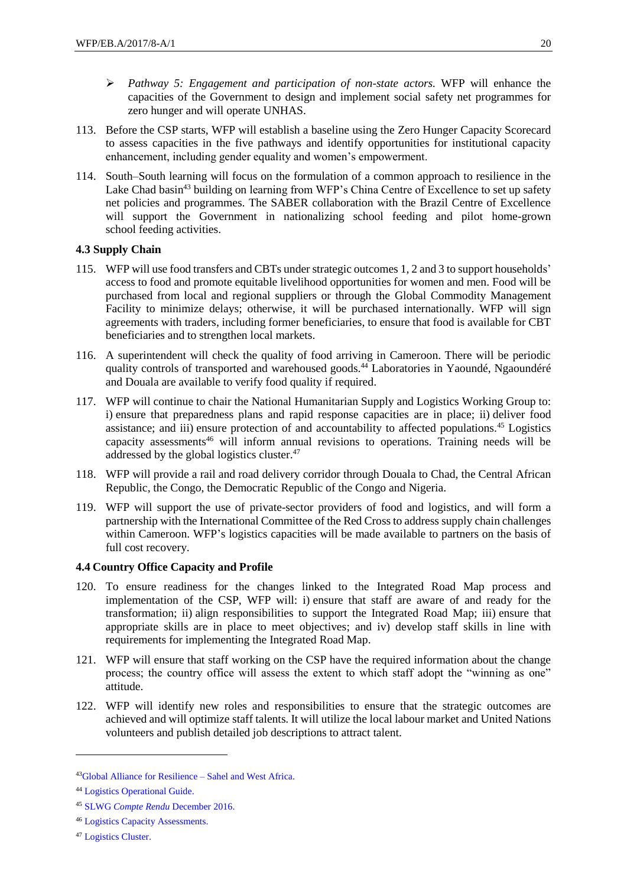- *Pathway 5: Engagement and participation of non-state actors.* WFP will enhance the capacities of the Government to design and implement social safety net programmes for zero hunger and will operate UNHAS.
- 113. Before the CSP starts, WFP will establish a baseline using the Zero Hunger Capacity Scorecard to assess capacities in the five pathways and identify opportunities for institutional capacity enhancement, including gender equality and women's empowerment.
- 114. South–South learning will focus on the formulation of a common approach to resilience in the Lake Chad basin<sup>43</sup> building on learning from WFP's China Centre of Excellence to set up safety net policies and programmes. The SABER collaboration with the Brazil Centre of Excellence will support the Government in nationalizing school feeding and pilot home-grown school feeding activities.

#### **4.3 Supply Chain**

- 115. WFP will use food transfers and CBTs under strategic outcomes 1, 2 and 3 to support households' access to food and promote equitable livelihood opportunities for women and men. Food will be purchased from local and regional suppliers or through the Global Commodity Management Facility to minimize delays; otherwise, it will be purchased internationally. WFP will sign agreements with traders, including former beneficiaries, to ensure that food is available for CBT beneficiaries and to strengthen local markets.
- 116. A superintendent will check the quality of food arriving in Cameroon. There will be periodic quality controls of transported and warehoused goods.<sup>44</sup> Laboratories in Yaoundé, Ngaoundéré and Douala are available to verify food quality if required.
- 117. WFP will continue to chair the National Humanitarian Supply and Logistics Working Group to: i) ensure that preparedness plans and rapid response capacities are in place; ii) deliver food assistance; and iii) ensure protection of and accountability to affected populations.<sup>45</sup> Logistics capacity assessments<sup>46</sup> will inform annual revisions to operations. Training needs will be addressed by the global logistics cluster.<sup>47</sup>
- 118. WFP will provide a rail and road delivery corridor through Douala to Chad, the Central African Republic, the Congo, the Democratic Republic of the Congo and Nigeria.
- 119. WFP will support the use of private-sector providers of food and logistics, and will form a partnership with the International Committee of the Red Cross to address supply chain challenges within Cameroon. WFP's logistics capacities will be made available to partners on the basis of full cost recovery.

#### **4.4 Country Office Capacity and Profile**

- 120. To ensure readiness for the changes linked to the Integrated Road Map process and implementation of the CSP, WFP will: i) ensure that staff are aware of and ready for the transformation; ii) align responsibilities to support the Integrated Road Map; iii) ensure that appropriate skills are in place to meet objectives; and iv) develop staff skills in line with requirements for implementing the Integrated Road Map.
- 121. WFP will ensure that staff working on the CSP have the required information about the change process; the country office will assess the extent to which staff adopt the "winning as one" attitude.
- 122. WFP will identify new roles and responsibilities to ensure that the strategic outcomes are achieved and will optimize staff talents. It will utilize the local labour market and United Nations volunteers and publish detailed job descriptions to attract talent.

<sup>43</sup>[Global Alliance for Resilience –](http://www.oecd.org/site/rpca/agir/) Sahel and West Africa.

<sup>44</sup> [Logistics Operational Guide.](http://dlca.logcluster.org/display/LOG/Logistics+Operational+Guide+%28LOG%29+Home)

<sup>45</sup> SLWG *Compte Rendu* [December 2016.](https://www.humanitarianresponse.info/en/operations/cameroon/document/cameroun-compte-rendu-réunion-du-supply-and-logistic-working-group-slwg)

<sup>46</sup> [Logistics Capacity Assessments.](http://dlca.logcluster.org/display/public/DLCA/LCA+Homepage)

<sup>47</sup> [Logistics Cluster.](http://www.logcluster.org/logistics-cluster)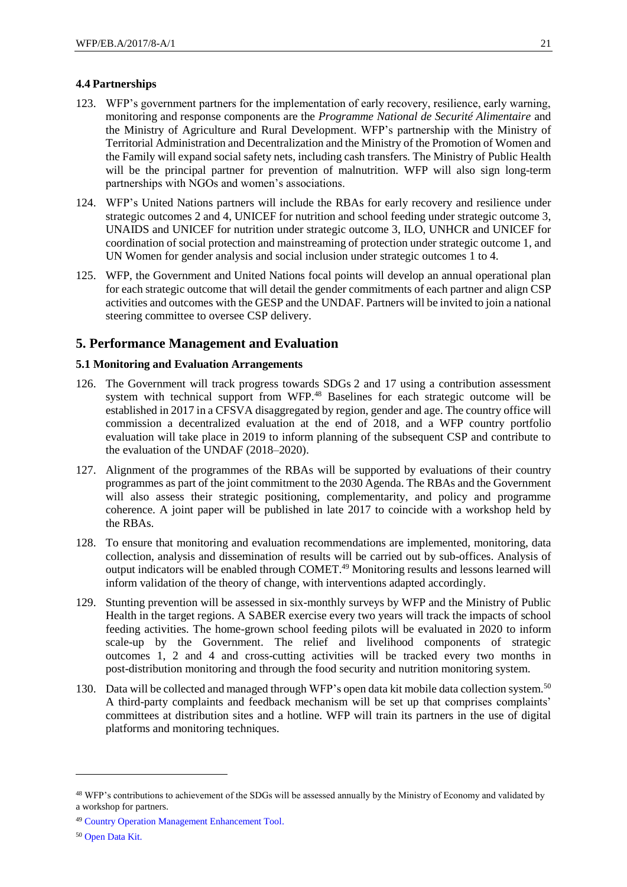#### **4.4 Partnerships**

- 123. WFP's government partners for the implementation of early recovery, resilience, early warning, monitoring and response components are the *Programme National de Securité Alimentaire* and the Ministry of Agriculture and Rural Development. WFP's partnership with the Ministry of Territorial Administration and Decentralization and the Ministry of the Promotion of Women and the Family will expand social safety nets, including cash transfers. The Ministry of Public Health will be the principal partner for prevention of malnutrition. WFP will also sign long-term partnerships with NGOs and women's associations.
- 124. WFP's United Nations partners will include the RBAs for early recovery and resilience under strategic outcomes 2 and 4, UNICEF for nutrition and school feeding under strategic outcome 3, UNAIDS and UNICEF for nutrition under strategic outcome 3, ILO, UNHCR and UNICEF for coordination of social protection and mainstreaming of protection under strategic outcome 1, and UN Women for gender analysis and social inclusion under strategic outcomes 1 to 4.
- 125. WFP, the Government and United Nations focal points will develop an annual operational plan for each strategic outcome that will detail the gender commitments of each partner and align CSP activities and outcomes with the GESP and the UNDAF. Partners will be invited to join a national steering committee to oversee CSP delivery.

# **5. Performance Management and Evaluation**

#### **5.1 Monitoring and Evaluation Arrangements**

- 126. The Government will track progress towards SDGs 2 and 17 using a contribution assessment system with technical support from WFP.<sup>48</sup> Baselines for each strategic outcome will be established in 2017 in a CFSVA disaggregated by region, gender and age. The country office will commission a decentralized evaluation at the end of 2018, and a WFP country portfolio evaluation will take place in 2019 to inform planning of the subsequent CSP and contribute to the evaluation of the UNDAF (2018–2020).
- 127. Alignment of the programmes of the RBAs will be supported by evaluations of their country programmes as part of the joint commitment to the 2030 Agenda. The RBAs and the Government will also assess their strategic positioning, complementarity, and policy and programme coherence. A joint paper will be published in late 2017 to coincide with a workshop held by the RBAs.
- 128. To ensure that monitoring and evaluation recommendations are implemented, monitoring, data collection, analysis and dissemination of results will be carried out by sub-offices. Analysis of output indicators will be enabled through COMET.<sup>49</sup> Monitoring results and lessons learned will inform validation of the theory of change, with interventions adapted accordingly.
- 129. Stunting prevention will be assessed in six-monthly surveys by WFP and the Ministry of Public Health in the target regions. A SABER exercise every two years will track the impacts of school feeding activities. The home-grown school feeding pilots will be evaluated in 2020 to inform scale-up by the Government. The relief and livelihood components of strategic outcomes 1, 2 and 4 and cross-cutting activities will be tracked every two months in post-distribution monitoring and through the food security and nutrition monitoring system.
- 130. Data will be collected and managed through WFP's open data kit mobile data collection system.<sup>50</sup> A third-party complaints and feedback mechanism will be set up that comprises complaints' committees at distribution sites and a hotline. WFP will train its partners in the use of digital platforms and monitoring techniques.

<sup>48</sup> WFP's contributions to achievement of the SDGs will be assessed annually by the Ministry of Economy and validated by a workshop for partners.

<sup>49</sup> [Country Operation Management Enhancement Tool.](http://documents.wfp.org/stellent/groups/public/documents/op_reports/wfp250141.pdf)

<sup>50</sup> [Open Data Kit.](https://opendatakit.org/about/)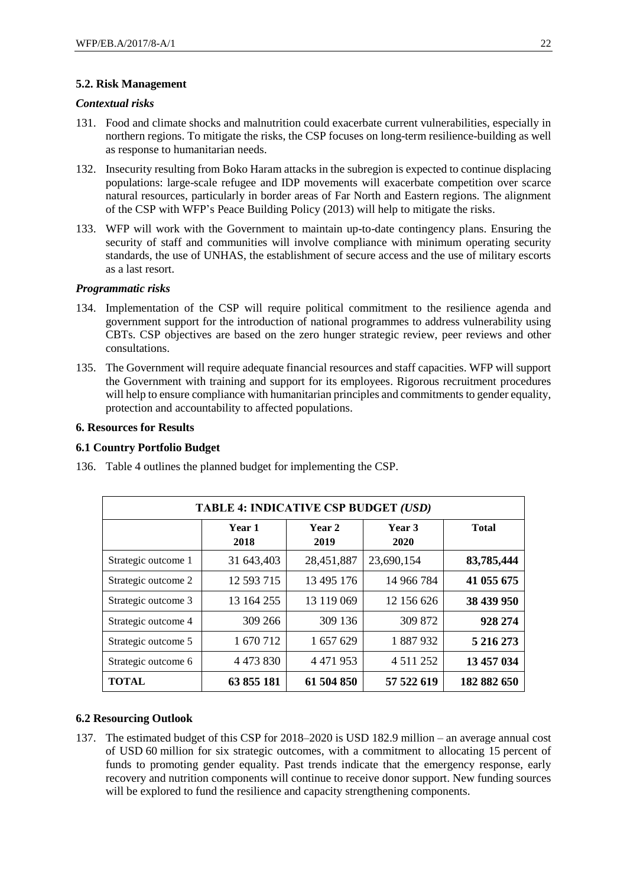#### **5.2. Risk Management**

#### *Contextual risks*

- 131. Food and climate shocks and malnutrition could exacerbate current vulnerabilities, especially in northern regions. To mitigate the risks, the CSP focuses on long-term resilience-building as well as response to humanitarian needs.
- 132. Insecurity resulting from Boko Haram attacks in the subregion is expected to continue displacing populations: large-scale refugee and IDP movements will exacerbate competition over scarce natural resources, particularly in border areas of Far North and Eastern regions. The alignment of the CSP with WFP's Peace Building Policy (2013) will help to mitigate the risks.
- 133. WFP will work with the Government to maintain up-to-date contingency plans. Ensuring the security of staff and communities will involve compliance with minimum operating security standards, the use of UNHAS, the establishment of secure access and the use of military escorts as a last resort.

#### *Programmatic risks*

- 134. Implementation of the CSP will require political commitment to the resilience agenda and government support for the introduction of national programmes to address vulnerability using CBTs. CSP objectives are based on the zero hunger strategic review, peer reviews and other consultations.
- 135. The Government will require adequate financial resources and staff capacities. WFP will support the Government with training and support for its employees. Rigorous recruitment procedures will help to ensure compliance with humanitarian principles and commitments to gender equality, protection and accountability to affected populations.

#### **6. Resources for Results**

#### **6.1 Country Portfolio Budget**

| <b>TABLE 4: INDICATIVE CSP BUDGET (USD)</b> |                |                |                |              |
|---------------------------------------------|----------------|----------------|----------------|--------------|
|                                             | Year 1<br>2018 | Year 2<br>2019 | Year 3<br>2020 | <b>Total</b> |
| Strategic outcome 1                         | 31 643,403     | 28,451,887     | 23,690,154     | 83,785,444   |
| Strategic outcome 2                         | 12 593 715     | 13 495 176     | 14 966 784     | 41 055 675   |
| Strategic outcome 3                         | 13 164 255     | 13 119 069     | 12 156 626     | 38 439 950   |
| Strategic outcome 4                         | 309 266        | 309 136        | 309 872        | 928 274      |
| Strategic outcome 5                         | 1 670 712      | 1 657 629      | 1887932        | 5 216 273    |
| Strategic outcome 6                         | 4 4 7 3 8 3 0  | 4 4 7 1 9 5 3  | 4 5 1 1 2 5 2  | 13 457 034   |
| <b>TOTAL</b>                                | 63 855 181     | 61 504 850     | 57 522 619     | 182 882 650  |

136. Table 4 outlines the planned budget for implementing the CSP.

# **6.2 Resourcing Outlook**

137. The estimated budget of this CSP for 2018–2020 is USD 182.9 million – an average annual cost of USD 60 million for six strategic outcomes, with a commitment to allocating 15 percent of funds to promoting gender equality. Past trends indicate that the emergency response, early recovery and nutrition components will continue to receive donor support. New funding sources will be explored to fund the resilience and capacity strengthening components.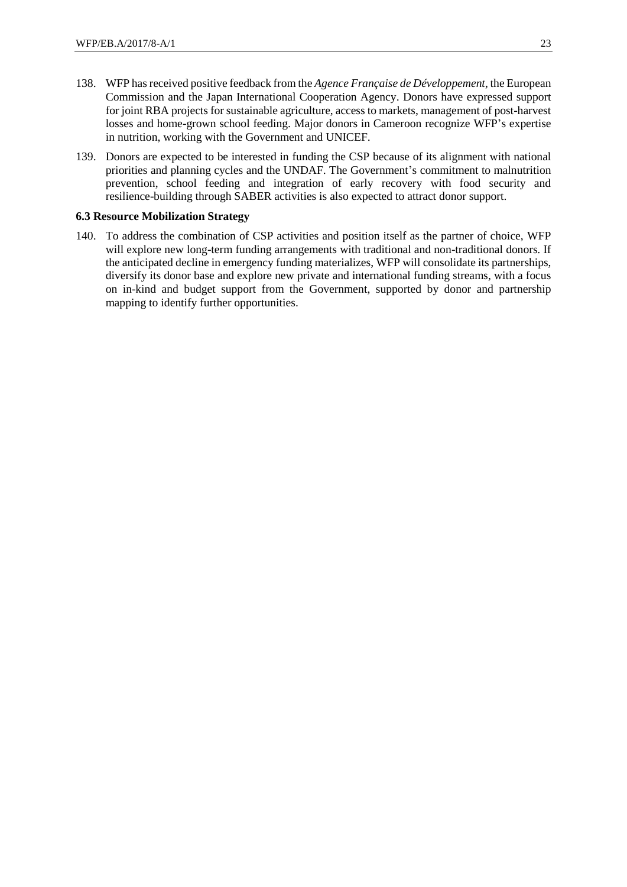- 138. WFP has received positive feedback from the *Agence Française de Développement*, the European Commission and the Japan International Cooperation Agency. Donors have expressed support for joint RBA projects for sustainable agriculture, access to markets, management of post-harvest losses and home-grown school feeding. Major donors in Cameroon recognize WFP's expertise in nutrition, working with the Government and UNICEF.
- 139. Donors are expected to be interested in funding the CSP because of its alignment with national priorities and planning cycles and the UNDAF. The Government's commitment to malnutrition prevention, school feeding and integration of early recovery with food security and resilience-building through SABER activities is also expected to attract donor support.

#### **6.3 Resource Mobilization Strategy**

140. To address the combination of CSP activities and position itself as the partner of choice, WFP will explore new long-term funding arrangements with traditional and non-traditional donors. If the anticipated decline in emergency funding materializes, WFP will consolidate its partnerships, diversify its donor base and explore new private and international funding streams, with a focus on in-kind and budget support from the Government, supported by donor and partnership mapping to identify further opportunities.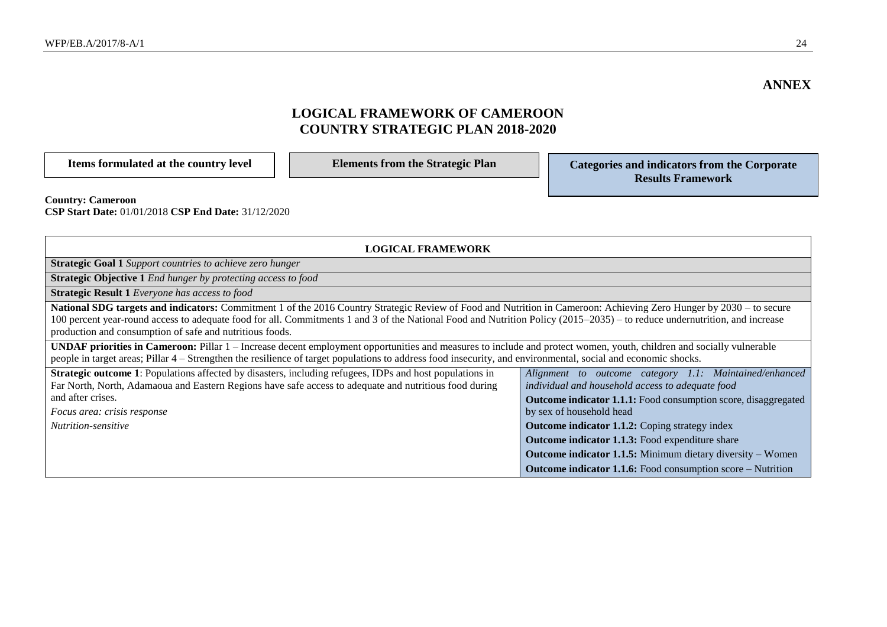# **LOGICAL FRAMEWORK OF CAMEROON COUNTRY STRATEGIC PLAN 2018-2020**

| Items formulated at the country level                                           | <b>Elements from the Strategic Plan</b> | Categories and indicators from the Corporate<br><b>Results Framework</b> |
|---------------------------------------------------------------------------------|-----------------------------------------|--------------------------------------------------------------------------|
| <b>Country: Cameroon</b><br>CSP Start Date: 01/01/2018 CSP End Date: 31/12/2020 |                                         |                                                                          |

| <b>LOGICAL FRAMEWORK</b>                                                                                                                                                                                                                                                                                                                                                                                      |                                                                                                            |  |
|---------------------------------------------------------------------------------------------------------------------------------------------------------------------------------------------------------------------------------------------------------------------------------------------------------------------------------------------------------------------------------------------------------------|------------------------------------------------------------------------------------------------------------|--|
| <b>Strategic Goal 1</b> Support countries to achieve zero hunger                                                                                                                                                                                                                                                                                                                                              |                                                                                                            |  |
| <b>Strategic Objective 1</b> End hunger by protecting access to food                                                                                                                                                                                                                                                                                                                                          |                                                                                                            |  |
| <b>Strategic Result 1</b> Everyone has access to food                                                                                                                                                                                                                                                                                                                                                         |                                                                                                            |  |
| National SDG targets and indicators: Commitment 1 of the 2016 Country Strategic Review of Food and Nutrition in Cameroon: Achieving Zero Hunger by 2030 – to secure<br>100 percent year-round access to adequate food for all. Commitments 1 and 3 of the National Food and Nutrition Policy (2015–2035) – to reduce undernutrition, and increase<br>production and consumption of safe and nutritious foods. |                                                                                                            |  |
| <b>UNDAF priorities in Cameroon:</b> Pillar 1 – Increase decent employment opportunities and measures to include and protect women, youth, children and socially vulnerable<br>people in target areas; Pillar 4 – Strengthen the resilience of target populations to address food insecurity, and environmental, social and economic shocks.                                                                  |                                                                                                            |  |
| <b>Strategic outcome 1:</b> Populations affected by disasters, including refugees, IDPs and host populations in<br>Far North, North, Adamaoua and Eastern Regions have safe access to adequate and nutritious food during                                                                                                                                                                                     | Alignment to outcome category 1.1: Maintained/enhanced<br>individual and household access to adequate food |  |
| and after crises.                                                                                                                                                                                                                                                                                                                                                                                             | <b>Outcome indicator 1.1.1:</b> Food consumption score, disaggregated                                      |  |
| Focus area: crisis response                                                                                                                                                                                                                                                                                                                                                                                   | by sex of household head                                                                                   |  |
| <i>Nutrition-sensitive</i>                                                                                                                                                                                                                                                                                                                                                                                    | <b>Outcome indicator 1.1.2:</b> Coping strategy index                                                      |  |
|                                                                                                                                                                                                                                                                                                                                                                                                               | Outcome indicator 1.1.3: Food expenditure share                                                            |  |
|                                                                                                                                                                                                                                                                                                                                                                                                               | <b>Outcome indicator 1.1.5:</b> Minimum dietary diversity – Women                                          |  |
|                                                                                                                                                                                                                                                                                                                                                                                                               | <b>Outcome indicator 1.1.6:</b> Food consumption score – Nutrition                                         |  |

**ANNEX**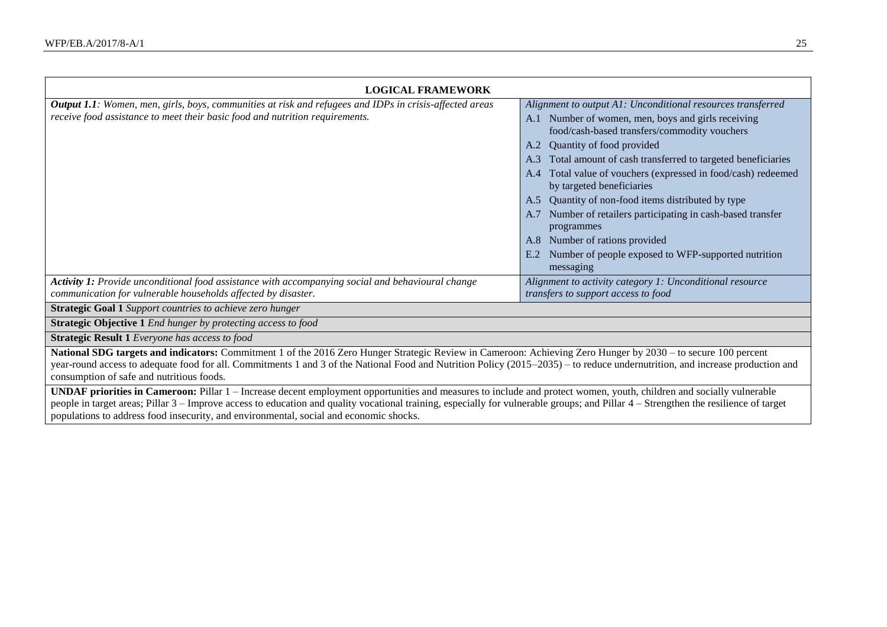| <b>LOGICAL FRAMEWORK</b>                                                                                                                                                                                                                                                                                                                                                                                                                               |                                                                                                    |
|--------------------------------------------------------------------------------------------------------------------------------------------------------------------------------------------------------------------------------------------------------------------------------------------------------------------------------------------------------------------------------------------------------------------------------------------------------|----------------------------------------------------------------------------------------------------|
| <b>Output 1.1</b> : Women, men, girls, boys, communities at risk and refugees and IDPs in crisis-affected areas<br>receive food assistance to meet their basic food and nutrition requirements.                                                                                                                                                                                                                                                        | Alignment to output A1: Unconditional resources transferred                                        |
|                                                                                                                                                                                                                                                                                                                                                                                                                                                        | A.1 Number of women, men, boys and girls receiving<br>food/cash-based transfers/commodity vouchers |
|                                                                                                                                                                                                                                                                                                                                                                                                                                                        | Quantity of food provided<br>A.2                                                                   |
|                                                                                                                                                                                                                                                                                                                                                                                                                                                        | Total amount of cash transferred to targeted beneficiaries<br>A.3                                  |
|                                                                                                                                                                                                                                                                                                                                                                                                                                                        | Total value of vouchers (expressed in food/cash) redeemed<br>A.4<br>by targeted beneficiaries      |
|                                                                                                                                                                                                                                                                                                                                                                                                                                                        | Quantity of non-food items distributed by type<br>A.5                                              |
|                                                                                                                                                                                                                                                                                                                                                                                                                                                        | Number of retailers participating in cash-based transfer<br>programmes                             |
|                                                                                                                                                                                                                                                                                                                                                                                                                                                        | Number of rations provided<br>A.8-                                                                 |
|                                                                                                                                                                                                                                                                                                                                                                                                                                                        | Number of people exposed to WFP-supported nutrition<br>E.2                                         |
|                                                                                                                                                                                                                                                                                                                                                                                                                                                        | messaging                                                                                          |
| Activity 1: Provide unconditional food assistance with accompanying social and behavioural change                                                                                                                                                                                                                                                                                                                                                      | Alignment to activity category 1: Unconditional resource                                           |
| communication for vulnerable households affected by disaster.                                                                                                                                                                                                                                                                                                                                                                                          | transfers to support access to food                                                                |
| <b>Strategic Goal 1</b> Support countries to achieve zero hunger                                                                                                                                                                                                                                                                                                                                                                                       |                                                                                                    |
| <b>Strategic Objective 1</b> End hunger by protecting access to food                                                                                                                                                                                                                                                                                                                                                                                   |                                                                                                    |
| <b>Strategic Result 1</b> Everyone has access to food                                                                                                                                                                                                                                                                                                                                                                                                  |                                                                                                    |
| National SDG targets and indicators: Commitment 1 of the 2016 Zero Hunger Strategic Review in Cameroon: Achieving Zero Hunger by 2030 – to secure 100 percent<br>year-round access to adequate food for all. Commitments 1 and 3 of the National Food and Nutrition Policy (2015–2035) – to reduce undernutrition, and increase production and<br>consumption of safe and nutritious foods.                                                            |                                                                                                    |
| UNDAF priorities in Cameroon: Pillar 1 – Increase decent employment opportunities and measures to include and protect women, youth, children and socially vulnerable<br>people in target areas; Pillar 3 - Improve access to education and quality vocational training, especially for vulnerable groups; and Pillar 4 - Strengthen the resilience of target<br>populations to address food insecurity, and environmental, social and economic shocks. |                                                                                                    |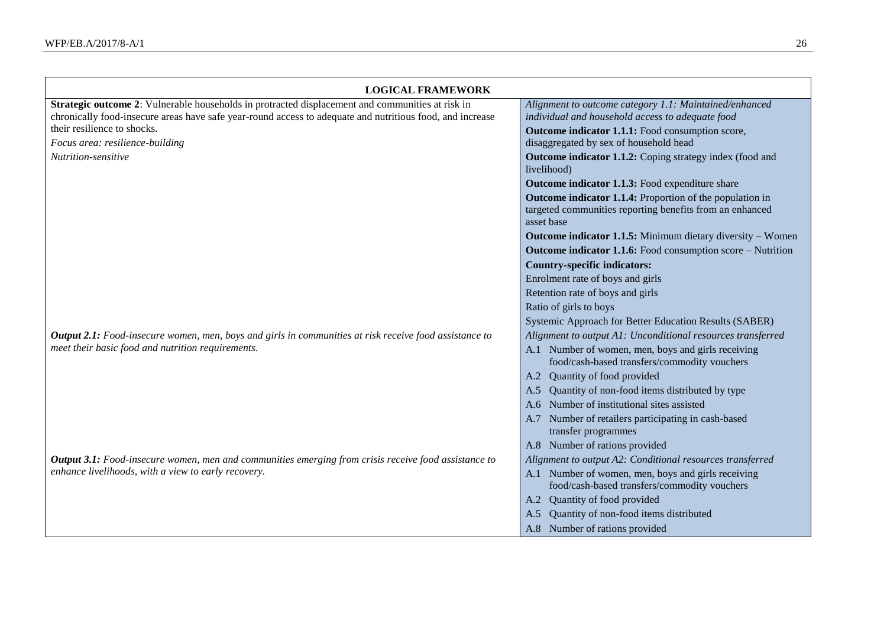| <b>LOGICAL FRAMEWORK</b>                                                                                      |                                                                                                                                    |
|---------------------------------------------------------------------------------------------------------------|------------------------------------------------------------------------------------------------------------------------------------|
| Strategic outcome 2: Vulnerable households in protracted displacement and communities at risk in              | Alignment to outcome category 1.1: Maintained/enhanced                                                                             |
| chronically food-insecure areas have safe year-round access to adequate and nutritious food, and increase     | individual and household access to adequate food                                                                                   |
| their resilience to shocks.                                                                                   | Outcome indicator 1.1.1: Food consumption score,                                                                                   |
| Focus area: resilience-building                                                                               | disaggregated by sex of household head                                                                                             |
| Nutrition-sensitive                                                                                           | Outcome indicator 1.1.2: Coping strategy index (food and<br>livelihood)                                                            |
|                                                                                                               | <b>Outcome indicator 1.1.3:</b> Food expenditure share                                                                             |
|                                                                                                               | Outcome indicator 1.1.4: Proportion of the population in<br>targeted communities reporting benefits from an enhanced<br>asset base |
|                                                                                                               | Outcome indicator 1.1.5: Minimum dietary diversity - Women                                                                         |
|                                                                                                               | Outcome indicator 1.1.6: Food consumption score - Nutrition                                                                        |
|                                                                                                               | <b>Country-specific indicators:</b>                                                                                                |
|                                                                                                               | Enrolment rate of boys and girls                                                                                                   |
|                                                                                                               | Retention rate of boys and girls                                                                                                   |
|                                                                                                               | Ratio of girls to boys                                                                                                             |
|                                                                                                               | Systemic Approach for Better Education Results (SABER)                                                                             |
| <b>Output 2.1:</b> Food-insecure women, men, boys and girls in communities at risk receive food assistance to | Alignment to output A1: Unconditional resources transferred                                                                        |
| meet their basic food and nutrition requirements.                                                             | A.1 Number of women, men, boys and girls receiving<br>food/cash-based transfers/commodity vouchers                                 |
|                                                                                                               | A.2 Quantity of food provided                                                                                                      |
|                                                                                                               | Quantity of non-food items distributed by type<br>A.5                                                                              |
|                                                                                                               | Number of institutional sites assisted                                                                                             |
|                                                                                                               | A.7 Number of retailers participating in cash-based<br>transfer programmes                                                         |
|                                                                                                               | A.8 Number of rations provided                                                                                                     |
| <b>Output 3.1:</b> Food-insecure women, men and communities emerging from crisis receive food assistance to   | Alignment to output A2: Conditional resources transferred                                                                          |
| enhance livelihoods, with a view to early recovery.                                                           | A.1 Number of women, men, boys and girls receiving<br>food/cash-based transfers/commodity vouchers                                 |
|                                                                                                               | A.2 Quantity of food provided                                                                                                      |
|                                                                                                               | Quantity of non-food items distributed<br>A.5                                                                                      |
|                                                                                                               | A.8 Number of rations provided                                                                                                     |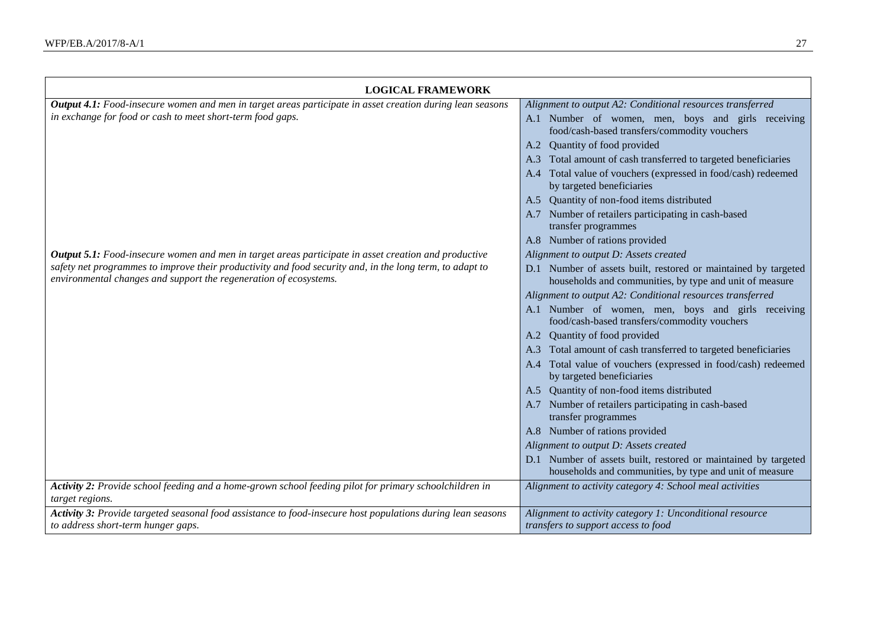| <b>LOGICAL FRAMEWORK</b>                                                                                                                                                      |                                                                                                                           |
|-------------------------------------------------------------------------------------------------------------------------------------------------------------------------------|---------------------------------------------------------------------------------------------------------------------------|
| <b>Output 4.1:</b> Food-insecure women and men in target areas participate in asset creation during lean seasons                                                              | Alignment to output A2: Conditional resources transferred                                                                 |
| in exchange for food or cash to meet short-term food gaps.                                                                                                                    | A.1 Number of women, men, boys and girls receiving<br>food/cash-based transfers/commodity vouchers                        |
|                                                                                                                                                                               | A.2 Quantity of food provided                                                                                             |
|                                                                                                                                                                               | A.3 Total amount of cash transferred to targeted beneficiaries                                                            |
|                                                                                                                                                                               | A.4 Total value of vouchers (expressed in food/cash) redeemed<br>by targeted beneficiaries                                |
|                                                                                                                                                                               | A.5 Quantity of non-food items distributed                                                                                |
|                                                                                                                                                                               | A.7 Number of retailers participating in cash-based<br>transfer programmes                                                |
|                                                                                                                                                                               | A.8 Number of rations provided                                                                                            |
| <b>Output 5.1:</b> Food-insecure women and men in target areas participate in asset creation and productive                                                                   | Alignment to output D: Assets created                                                                                     |
| safety net programmes to improve their productivity and food security and, in the long term, to adapt to<br>environmental changes and support the regeneration of ecosystems. | D.1 Number of assets built, restored or maintained by targeted<br>households and communities, by type and unit of measure |
|                                                                                                                                                                               | Alignment to output A2: Conditional resources transferred                                                                 |
|                                                                                                                                                                               | A.1 Number of women, men, boys and girls receiving<br>food/cash-based transfers/commodity vouchers                        |
|                                                                                                                                                                               | A.2 Quantity of food provided                                                                                             |
|                                                                                                                                                                               | A.3 Total amount of cash transferred to targeted beneficiaries                                                            |
|                                                                                                                                                                               | A.4 Total value of vouchers (expressed in food/cash) redeemed<br>by targeted beneficiaries                                |
|                                                                                                                                                                               | A.5 Quantity of non-food items distributed                                                                                |
|                                                                                                                                                                               | A.7 Number of retailers participating in cash-based<br>transfer programmes                                                |
|                                                                                                                                                                               | A.8 Number of rations provided                                                                                            |
|                                                                                                                                                                               | Alignment to output D: Assets created                                                                                     |
|                                                                                                                                                                               | D.1 Number of assets built, restored or maintained by targeted<br>households and communities, by type and unit of measure |
| Activity 2: Provide school feeding and a home-grown school feeding pilot for primary schoolchildren in<br>target regions.                                                     | Alignment to activity category 4: School meal activities                                                                  |
| Activity 3: Provide targeted seasonal food assistance to food-insecure host populations during lean seasons<br>to address short-term hunger gaps.                             | Alignment to activity category 1: Unconditional resource<br>transfers to support access to food                           |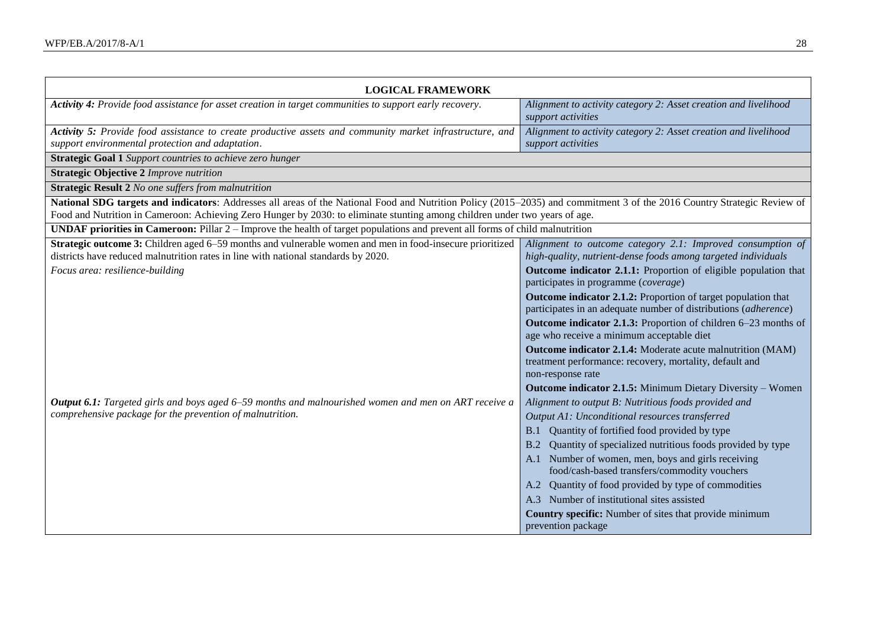| <b>LOGICAL FRAMEWORK</b>                                                                                                                                                                                                                                                                               |                                                                                                                                  |
|--------------------------------------------------------------------------------------------------------------------------------------------------------------------------------------------------------------------------------------------------------------------------------------------------------|----------------------------------------------------------------------------------------------------------------------------------|
| Activity 4: Provide food assistance for asset creation in target communities to support early recovery.                                                                                                                                                                                                | Alignment to activity category 2: Asset creation and livelihood<br>support activities                                            |
| Activity 5: Provide food assistance to create productive assets and community market infrastructure, and                                                                                                                                                                                               | Alignment to activity category 2: Asset creation and livelihood                                                                  |
| support environmental protection and adaptation.                                                                                                                                                                                                                                                       | support activities                                                                                                               |
| <b>Strategic Goal 1</b> Support countries to achieve zero hunger                                                                                                                                                                                                                                       |                                                                                                                                  |
| <b>Strategic Objective 2 Improve nutrition</b>                                                                                                                                                                                                                                                         |                                                                                                                                  |
| <b>Strategic Result 2</b> No one suffers from malnutrition                                                                                                                                                                                                                                             |                                                                                                                                  |
| National SDG targets and indicators: Addresses all areas of the National Food and Nutrition Policy (2015–2035) and commitment 3 of the 2016 Country Strategic Review of<br>Food and Nutrition in Cameroon: Achieving Zero Hunger by 2030: to eliminate stunting among children under two years of age. |                                                                                                                                  |
| <b>UNDAF priorities in Cameroon:</b> Pillar $2$ – Improve the health of target populations and prevent all forms of child malnutrition                                                                                                                                                                 |                                                                                                                                  |
| Strategic outcome 3: Children aged 6–59 months and vulnerable women and men in food-insecure prioritized<br>districts have reduced malnutrition rates in line with national standards by 2020.                                                                                                         | Alignment to outcome category 2.1: Improved consumption of<br>high-quality, nutrient-dense foods among targeted individuals      |
| Focus area: resilience-building                                                                                                                                                                                                                                                                        | Outcome indicator 2.1.1: Proportion of eligible population that<br>participates in programme (coverage)                          |
|                                                                                                                                                                                                                                                                                                        | Outcome indicator 2.1.2: Proportion of target population that<br>participates in an adequate number of distributions (adherence) |
|                                                                                                                                                                                                                                                                                                        | Outcome indicator 2.1.3: Proportion of children 6–23 months of<br>age who receive a minimum acceptable diet                      |
|                                                                                                                                                                                                                                                                                                        | Outcome indicator 2.1.4: Moderate acute malnutrition (MAM)<br>treatment performance: recovery, mortality, default and            |
|                                                                                                                                                                                                                                                                                                        | non-response rate                                                                                                                |
|                                                                                                                                                                                                                                                                                                        | Outcome indicator 2.1.5: Minimum Dietary Diversity - Women                                                                       |
| <b>Output 6.1:</b> Targeted girls and boys aged 6–59 months and malnourished women and men on ART receive a                                                                                                                                                                                            | Alignment to output B: Nutritious foods provided and                                                                             |
| comprehensive package for the prevention of malnutrition.                                                                                                                                                                                                                                              | Output A1: Unconditional resources transferred                                                                                   |
|                                                                                                                                                                                                                                                                                                        | B.1 Quantity of fortified food provided by type                                                                                  |
|                                                                                                                                                                                                                                                                                                        | Quantity of specialized nutritious foods provided by type                                                                        |
|                                                                                                                                                                                                                                                                                                        | A.1 Number of women, men, boys and girls receiving<br>food/cash-based transfers/commodity vouchers                               |
|                                                                                                                                                                                                                                                                                                        | A.2 Quantity of food provided by type of commodities                                                                             |
|                                                                                                                                                                                                                                                                                                        | A.3 Number of institutional sites assisted                                                                                       |
|                                                                                                                                                                                                                                                                                                        | Country specific: Number of sites that provide minimum                                                                           |
|                                                                                                                                                                                                                                                                                                        | prevention package                                                                                                               |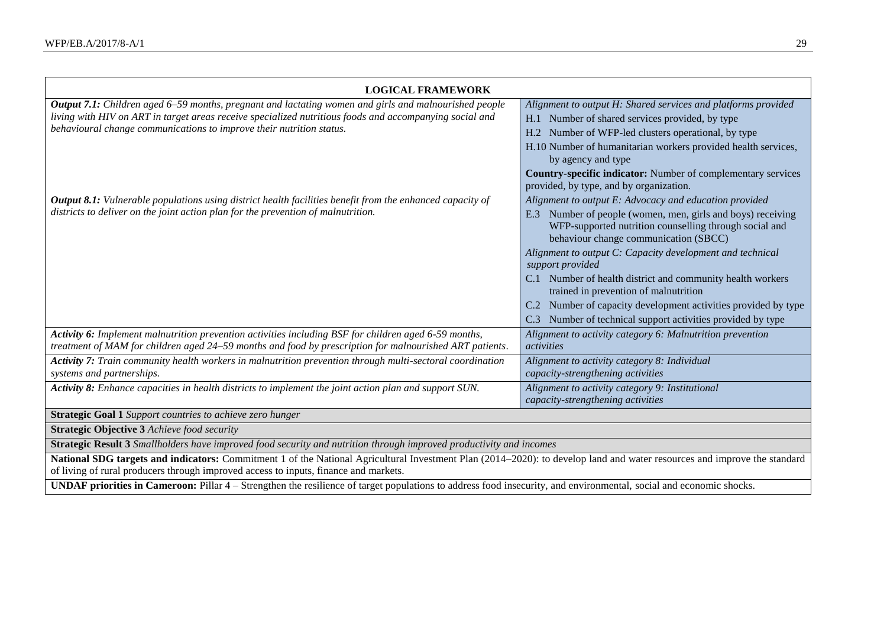| <b>LOGICAL FRAMEWORK</b>                                                                                                                                                                                                                                                                        |                                                                                                                                                                                                                                                                                                                                                                                                                                                                                                                                                                                                 |  |  |
|-------------------------------------------------------------------------------------------------------------------------------------------------------------------------------------------------------------------------------------------------------------------------------------------------|-------------------------------------------------------------------------------------------------------------------------------------------------------------------------------------------------------------------------------------------------------------------------------------------------------------------------------------------------------------------------------------------------------------------------------------------------------------------------------------------------------------------------------------------------------------------------------------------------|--|--|
| <b>Output 7.1:</b> Children aged 6–59 months, pregnant and lactating women and girls and malnourished people<br>living with HIV on ART in target areas receive specialized nutritious foods and accompanying social and<br>behavioural change communications to improve their nutrition status. | Alignment to output H: Shared services and platforms provided<br>H.1 Number of shared services provided, by type<br>H.2 Number of WFP-led clusters operational, by type<br>H.10 Number of humanitarian workers provided health services,<br>by agency and type<br>Country-specific indicator: Number of complementary services                                                                                                                                                                                                                                                                  |  |  |
| <b>Output 8.1:</b> Vulnerable populations using district health facilities benefit from the enhanced capacity of<br>districts to deliver on the joint action plan for the prevention of malnutrition.                                                                                           | provided, by type, and by organization.<br>Alignment to output E: Advocacy and education provided<br>Number of people (women, men, girls and boys) receiving<br>E.3<br>WFP-supported nutrition counselling through social and<br>behaviour change communication (SBCC)<br>Alignment to output C: Capacity development and technical<br>support provided<br>C.1 Number of health district and community health workers<br>trained in prevention of malnutrition<br>C.2 Number of capacity development activities provided by type<br>C.3 Number of technical support activities provided by type |  |  |
| Activity 6: Implement malnutrition prevention activities including BSF for children aged 6-59 months,<br>treatment of MAM for children aged 24–59 months and food by prescription for malnourished ART patients.                                                                                | Alignment to activity category 6: Malnutrition prevention<br>activities                                                                                                                                                                                                                                                                                                                                                                                                                                                                                                                         |  |  |
| Activity 7: Train community health workers in malnutrition prevention through multi-sectoral coordination<br>systems and partnerships.                                                                                                                                                          | Alignment to activity category 8: Individual<br>capacity-strengthening activities                                                                                                                                                                                                                                                                                                                                                                                                                                                                                                               |  |  |
| Activity 8: Enhance capacities in health districts to implement the joint action plan and support SUN.                                                                                                                                                                                          | Alignment to activity category 9: Institutional<br>capacity-strengthening activities                                                                                                                                                                                                                                                                                                                                                                                                                                                                                                            |  |  |
| <b>Strategic Goal 1</b> Support countries to achieve zero hunger                                                                                                                                                                                                                                |                                                                                                                                                                                                                                                                                                                                                                                                                                                                                                                                                                                                 |  |  |
| <b>Strategic Objective 3 Achieve food security</b>                                                                                                                                                                                                                                              |                                                                                                                                                                                                                                                                                                                                                                                                                                                                                                                                                                                                 |  |  |
| Strategic Result 3 Smallholders have improved food security and nutrition through improved productivity and incomes                                                                                                                                                                             |                                                                                                                                                                                                                                                                                                                                                                                                                                                                                                                                                                                                 |  |  |
| National SDG targets and indicators: Commitment 1 of the National Agricultural Investment Plan (2014–2020): to develop land and water resources and improve the standard<br>of living of rural producers through improved access to inputs, finance and markets.                                |                                                                                                                                                                                                                                                                                                                                                                                                                                                                                                                                                                                                 |  |  |

**UNDAF priorities in Cameroon:** Pillar 4 – Strengthen the resilience of target populations to address food insecurity, and environmental, social and economic shocks.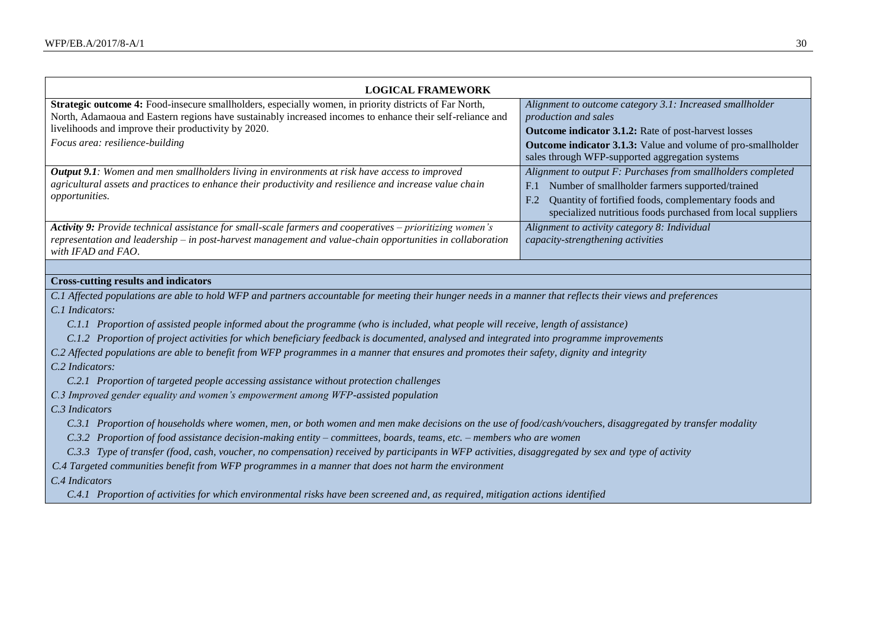| Strategic outcome 4: Food-insecure smallholders, especially women, in priority districts of Far North,<br>Alignment to outcome category 3.1: Increased smallholder<br>North, Adamaoua and Eastern regions have sustainably increased incomes to enhance their self-reliance and<br>production and sales<br>livelihoods and improve their productivity by 2020.<br><b>Outcome indicator 3.1.2:</b> Rate of post-harvest losses<br>Focus area: resilience-building<br><b>Outcome indicator 3.1.3:</b> Value and volume of pro-smallholder<br>sales through WFP-supported aggregation systems<br><b>Output 9.1</b> : Women and men smallholders living in environments at risk have access to improved<br>Alignment to output F: Purchases from smallholders completed<br>agricultural assets and practices to enhance their productivity and resilience and increase value chain<br>Number of smallholder farmers supported/trained<br>F <sub>1</sub><br><i>opportunities.</i><br>Quantity of fortified foods, complementary foods and<br>F.2 |  |  |
|---------------------------------------------------------------------------------------------------------------------------------------------------------------------------------------------------------------------------------------------------------------------------------------------------------------------------------------------------------------------------------------------------------------------------------------------------------------------------------------------------------------------------------------------------------------------------------------------------------------------------------------------------------------------------------------------------------------------------------------------------------------------------------------------------------------------------------------------------------------------------------------------------------------------------------------------------------------------------------------------------------------------------------------------|--|--|
| specialized nutritious foods purchased from local suppliers<br>Activity 9: Provide technical assistance for small-scale farmers and cooperatives – prioritizing women's<br>Alignment to activity category 8: Individual<br>representation and leadership - in post-harvest management and value-chain opportunities in collaboration<br>capacity-strengthening activities<br>with IFAD and FAO.                                                                                                                                                                                                                                                                                                                                                                                                                                                                                                                                                                                                                                             |  |  |
|                                                                                                                                                                                                                                                                                                                                                                                                                                                                                                                                                                                                                                                                                                                                                                                                                                                                                                                                                                                                                                             |  |  |
| <b>Cross-cutting results and indicators</b>                                                                                                                                                                                                                                                                                                                                                                                                                                                                                                                                                                                                                                                                                                                                                                                                                                                                                                                                                                                                 |  |  |
| C.1 Affected populations are able to hold WFP and partners accountable for meeting their hunger needs in a manner that reflects their views and preferences<br>C.1 Indicators:<br>C.1.1 Proportion of assisted people informed about the programme (who is included, what people will receive, length of assistance)<br>C.1.2 Proportion of project activities for which beneficiary feedback is documented, analysed and integrated into programme improvements                                                                                                                                                                                                                                                                                                                                                                                                                                                                                                                                                                            |  |  |
| C.2 Affected populations are able to benefit from WFP programmes in a manner that ensures and promotes their safety, dignity and integrity                                                                                                                                                                                                                                                                                                                                                                                                                                                                                                                                                                                                                                                                                                                                                                                                                                                                                                  |  |  |
| C.2 Indicators:                                                                                                                                                                                                                                                                                                                                                                                                                                                                                                                                                                                                                                                                                                                                                                                                                                                                                                                                                                                                                             |  |  |
| C.2.1 Proportion of targeted people accessing assistance without protection challenges                                                                                                                                                                                                                                                                                                                                                                                                                                                                                                                                                                                                                                                                                                                                                                                                                                                                                                                                                      |  |  |
| C.3 Improved gender equality and women's empowerment among WFP-assisted population                                                                                                                                                                                                                                                                                                                                                                                                                                                                                                                                                                                                                                                                                                                                                                                                                                                                                                                                                          |  |  |
| C.3 Indicators<br>C.3.1 Proportion of households where women, men, or both women and men make decisions on the use of food/cash/vouchers, disaggregated by transfer modality                                                                                                                                                                                                                                                                                                                                                                                                                                                                                                                                                                                                                                                                                                                                                                                                                                                                |  |  |

- *C.3.2 Proportion of food assistance decision-making entity – committees, boards, teams, etc. – members who are women*
- *C.3.3 Type of transfer (food, cash, voucher, no compensation) received by participants in WFP activities, disaggregated by sex and type of activity*

*C.4 Targeted communities benefit from WFP programmes in a manner that does not harm the environment*

*C.4 Indicators*

*C.4.1 Proportion of activities for which environmental risks have been screened and, as required, mitigation actions identified*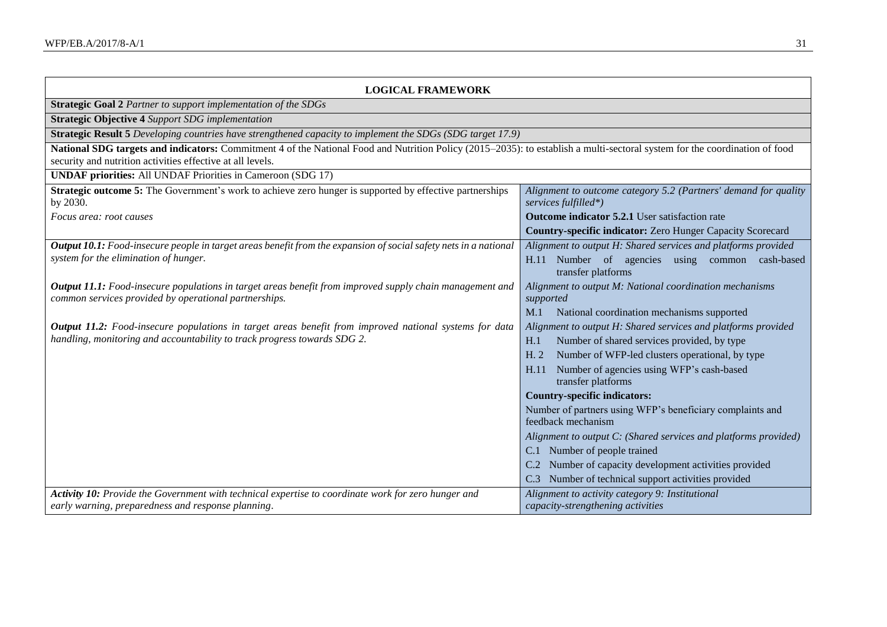| <b>LOGICAL FRAMEWORK</b>                                                                                                                                                                                                                 |                                                                                         |
|------------------------------------------------------------------------------------------------------------------------------------------------------------------------------------------------------------------------------------------|-----------------------------------------------------------------------------------------|
| Strategic Goal 2 Partner to support implementation of the SDGs                                                                                                                                                                           |                                                                                         |
| <b>Strategic Objective 4 Support SDG implementation</b>                                                                                                                                                                                  |                                                                                         |
| <b>Strategic Result 5</b> Developing countries have strengthened capacity to implement the SDGs (SDG target 17.9)                                                                                                                        |                                                                                         |
| National SDG targets and indicators: Commitment 4 of the National Food and Nutrition Policy (2015–2035): to establish a multi-sectoral system for the coordination of food<br>security and nutrition activities effective at all levels. |                                                                                         |
| <b>UNDAF priorities:</b> All UNDAF Priorities in Cameroon (SDG 17)                                                                                                                                                                       |                                                                                         |
| <b>Strategic outcome 5:</b> The Government's work to achieve zero hunger is supported by effective partnerships<br>by 2030.                                                                                                              | Alignment to outcome category 5.2 (Partners' demand for quality<br>services fulfilled*) |
| Focus area: root causes                                                                                                                                                                                                                  | <b>Outcome indicator 5.2.1</b> User satisfaction rate                                   |
|                                                                                                                                                                                                                                          | Country-specific indicator: Zero Hunger Capacity Scorecard                              |
| <b>Output 10.1:</b> Food-insecure people in target areas benefit from the expansion of social safety nets in a national                                                                                                                  | Alignment to output H: Shared services and platforms provided                           |
| system for the elimination of hunger.                                                                                                                                                                                                    | H.11 Number of agencies using common cash-based<br>transfer platforms                   |
| <b>Output 11.1:</b> Food-insecure populations in target areas benefit from improved supply chain management and                                                                                                                          | Alignment to output M: National coordination mechanisms                                 |
| common services provided by operational partnerships.                                                                                                                                                                                    | supported                                                                               |
|                                                                                                                                                                                                                                          | National coordination mechanisms supported<br>M.1                                       |
| <b>Output 11.2:</b> Food-insecure populations in target areas benefit from improved national systems for data<br>handling, monitoring and accountability to track progress towards SDG 2.                                                | Alignment to output H: Shared services and platforms provided                           |
|                                                                                                                                                                                                                                          | Number of shared services provided, by type<br>H.1                                      |
|                                                                                                                                                                                                                                          | Number of WFP-led clusters operational, by type<br>H. 2                                 |
|                                                                                                                                                                                                                                          | Number of agencies using WFP's cash-based<br>H.11<br>transfer platforms                 |
|                                                                                                                                                                                                                                          | <b>Country-specific indicators:</b>                                                     |
|                                                                                                                                                                                                                                          | Number of partners using WFP's beneficiary complaints and                               |
|                                                                                                                                                                                                                                          | feedback mechanism                                                                      |
|                                                                                                                                                                                                                                          | Alignment to output C: (Shared services and platforms provided)                         |
|                                                                                                                                                                                                                                          | C.1 Number of people trained                                                            |
|                                                                                                                                                                                                                                          | C.2 Number of capacity development activities provided                                  |
|                                                                                                                                                                                                                                          | Number of technical support activities provided                                         |
| Activity 10: Provide the Government with technical expertise to coordinate work for zero hunger and                                                                                                                                      | Alignment to activity category 9: Institutional                                         |
| early warning, preparedness and response planning.                                                                                                                                                                                       | capacity-strengthening activities                                                       |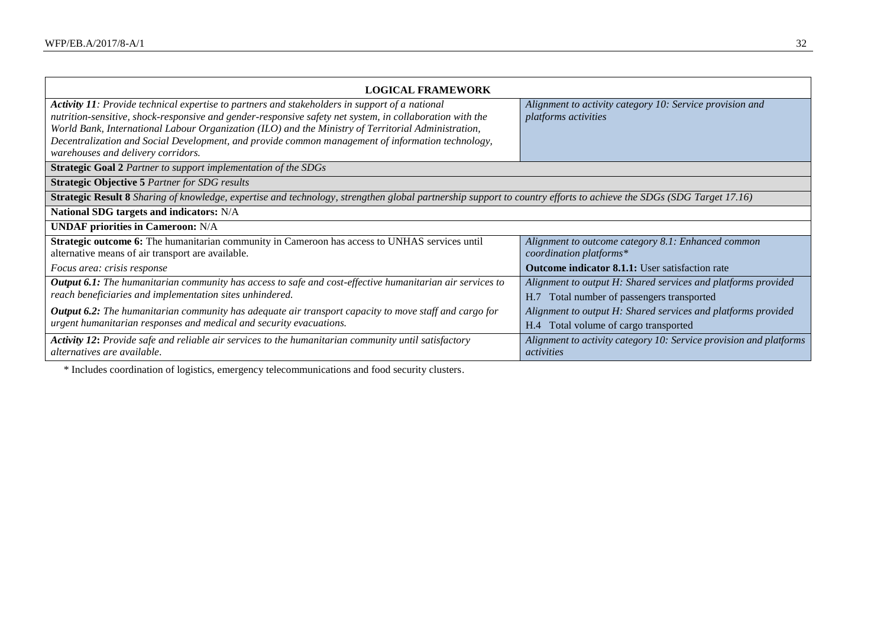| <b>LOGICAL FRAMEWORK</b>                                                                                                                                                                                                                                                                                                                                                                                                                                     |                                                                                                                                         |  |
|--------------------------------------------------------------------------------------------------------------------------------------------------------------------------------------------------------------------------------------------------------------------------------------------------------------------------------------------------------------------------------------------------------------------------------------------------------------|-----------------------------------------------------------------------------------------------------------------------------------------|--|
| Activity 11: Provide technical expertise to partners and stakeholders in support of a national<br>nutrition-sensitive, shock-responsive and gender-responsive safety net system, in collaboration with the<br>World Bank, International Labour Organization (ILO) and the Ministry of Territorial Administration,<br>Decentralization and Social Development, and provide common management of information technology,<br>warehouses and delivery corridors. | Alignment to activity category 10: Service provision and<br>platforms activities                                                        |  |
| <b>Strategic Goal 2</b> Partner to support implementation of the SDGs                                                                                                                                                                                                                                                                                                                                                                                        |                                                                                                                                         |  |
| <b>Strategic Objective 5 Partner for SDG results</b>                                                                                                                                                                                                                                                                                                                                                                                                         |                                                                                                                                         |  |
| Strategic Result 8 Sharing of knowledge, expertise and technology, strengthen global partnership support to country efforts to achieve the SDGs (SDG Target 17.16)                                                                                                                                                                                                                                                                                           |                                                                                                                                         |  |
| National SDG targets and indicators: N/A                                                                                                                                                                                                                                                                                                                                                                                                                     |                                                                                                                                         |  |
| <b>UNDAF priorities in Cameroon: N/A</b>                                                                                                                                                                                                                                                                                                                                                                                                                     |                                                                                                                                         |  |
| Strategic outcome 6: The humanitarian community in Cameroon has access to UNHAS services until<br>alternative means of air transport are available.<br>Focus area: crisis response                                                                                                                                                                                                                                                                           | Alignment to outcome category 8.1: Enhanced common<br>coordination platforms*<br><b>Outcome indicator 8.1.1:</b> User satisfaction rate |  |
| <b>Output 6.1:</b> The humanitarian community has access to safe and cost-effective humanitarian air services to<br>reach beneficiaries and implementation sites unhindered.                                                                                                                                                                                                                                                                                 | Alignment to output H: Shared services and platforms provided<br>Total number of passengers transported<br>H.7                          |  |
| <b>Output 6.2:</b> The humanitarian community has adequate air transport capacity to move staff and cargo for<br>urgent humanitarian responses and medical and security evacuations.                                                                                                                                                                                                                                                                         | Alignment to output H: Shared services and platforms provided<br>Total volume of cargo transported<br>H.4                               |  |
| Activity 12: Provide safe and reliable air services to the humanitarian community until satisfactory<br>alternatives are available.                                                                                                                                                                                                                                                                                                                          | Alignment to activity category 10: Service provision and platforms<br>activities                                                        |  |

\* Includes coordination of logistics, emergency telecommunications and food security clusters.